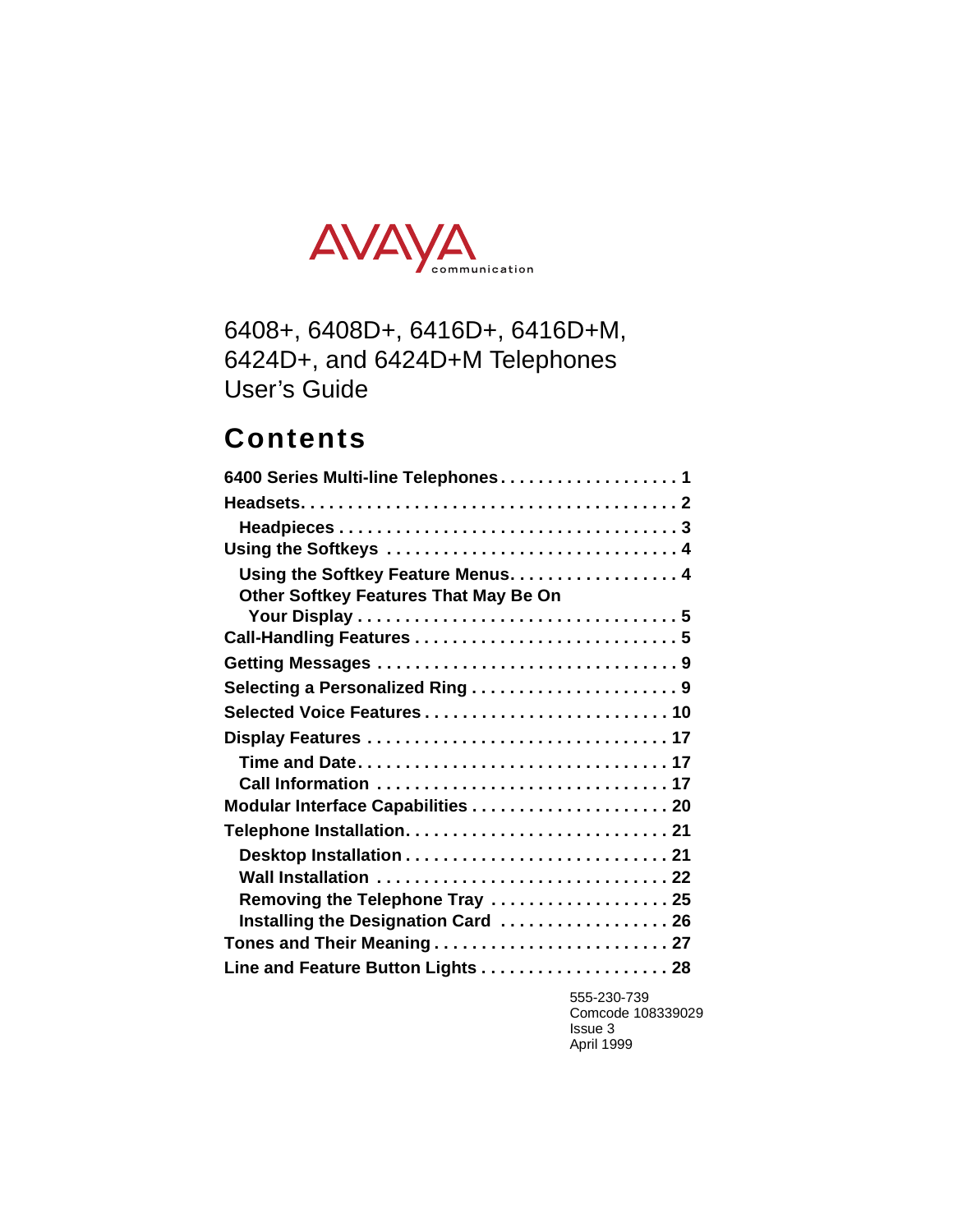

## 6408+, 6408D+, 6416D+, 6416D+M, 6424D+, and 6424D+M Telephones User's Guide

## **Contents**

| 6400 Series Multi-line Telephones1                                                 |
|------------------------------------------------------------------------------------|
|                                                                                    |
|                                                                                    |
| Using the Softkeys  4                                                              |
| Using the Softkey Feature Menus. 4<br><b>Other Softkey Features That May Be On</b> |
|                                                                                    |
|                                                                                    |
|                                                                                    |
| Selected Voice Features 10                                                         |
|                                                                                    |
| Time and Date17                                                                    |
| Call Information  17                                                               |
|                                                                                    |
|                                                                                    |
|                                                                                    |
| Wall Installation  22                                                              |
| Removing the Telephone Tray  25                                                    |
| Installing the Designation Card  26                                                |
| Tones and Their Meaning 27                                                         |
| Line and Feature Button Lights 28                                                  |

555-230-739 Comcode 108339029 Issue 3 April 1999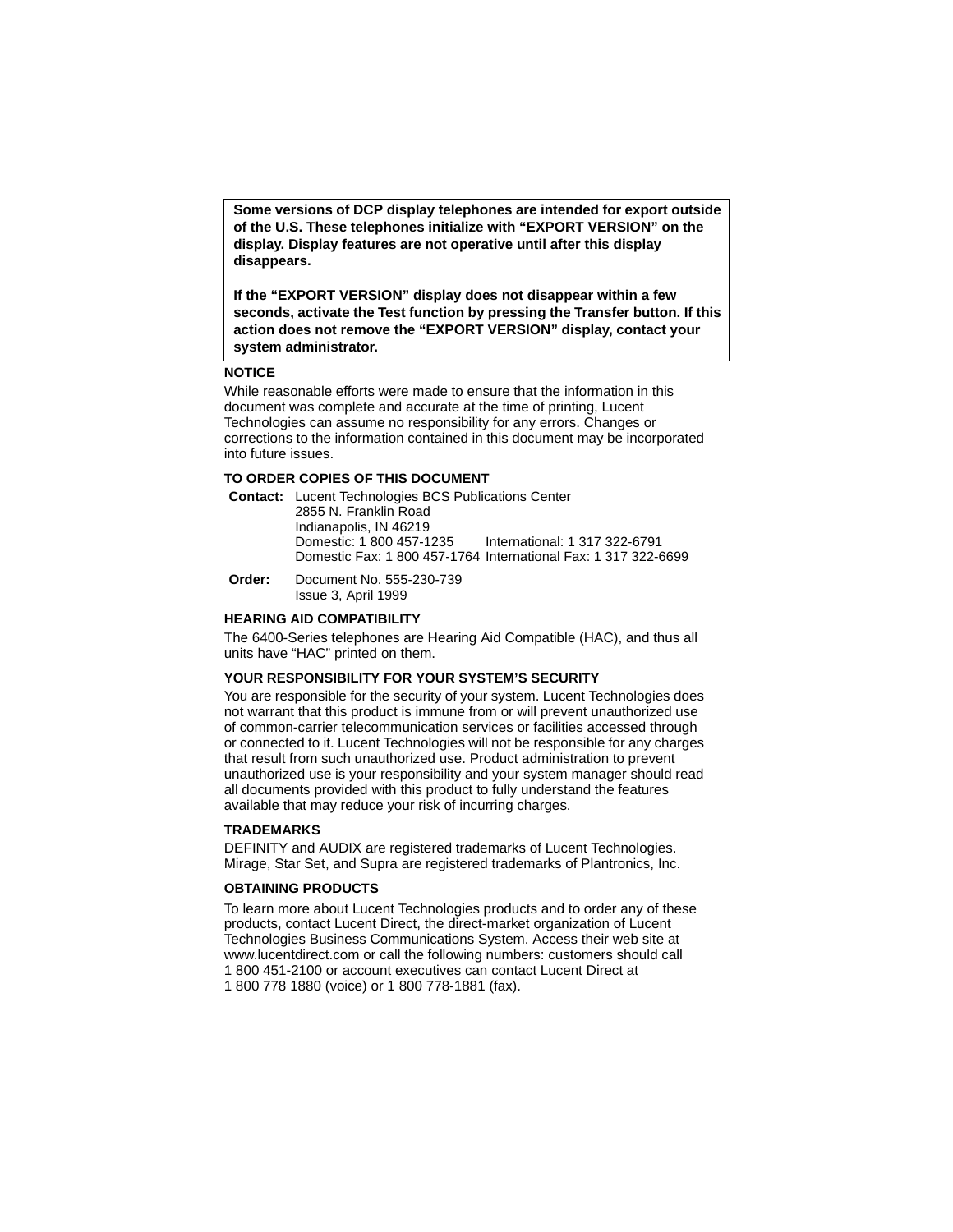**Some versions of DCP display telephones are intended for export outside of the U.S. These telephones initialize with "EXPORT VERSION" on the display. Display features are not operative until after this display disappears.**

**If the "EXPORT VERSION" display does not disappear within a few seconds, activate the Test function by pressing the Transfer button. If this action does not remove the "EXPORT VERSION" display, contact your system administrator.**

#### **NOTICE**

While reasonable efforts were made to ensure that the information in this document was complete and accurate at the time of printing, Lucent Technologies can assume no responsibility for any errors. Changes or corrections to the information contained in this document may be incorporated into future issues.

#### **TO ORDER COPIES OF THIS DOCUMENT**

**Contact:** Lucent Technologies BCS Publications Center 2855 N. Franklin Road Indianapolis, IN 46219 Domestic: 1 800 457-1235 International: 1 317 322-6791 Domestic Fax: 1 800 457-1764 International Fax: 1 317 322-6699

**Order:** Document No. 555-230-739 Issue 3, April 1999

#### **HEARING AID COMPATIBILITY**

The 6400-Series telephones are Hearing Aid Compatible (HAC), and thus all units have "HAC" printed on them.

#### **YOUR RESPONSIBILITY FOR YOUR SYSTEM'S SECURITY**

You are responsible for the security of your system. Lucent Technologies does not warrant that this product is immune from or will prevent unauthorized use of common-carrier telecommunication services or facilities accessed through or connected to it. Lucent Technologies will not be responsible for any charges that result from such unauthorized use. Product administration to prevent unauthorized use is your responsibility and your system manager should read all documents provided with this product to fully understand the features available that may reduce your risk of incurring charges.

#### **TRADEMARKS**

DEFINITY and AUDIX are registered trademarks of Lucent Technologies. Mirage, Star Set, and Supra are registered trademarks of Plantronics, Inc.

#### **OBTAINING PRODUCTS**

To learn more about Lucent Technologies products and to order any of these products, contact Lucent Direct, the direct-market organization of Lucent Technologies Business Communications System. Access their web site at www.lucentdirect.com or call the following numbers: customers should call 1 800 451-2100 or account executives can contact Lucent Direct at 1 800 778 1880 (voice) or 1 800 778-1881 (fax).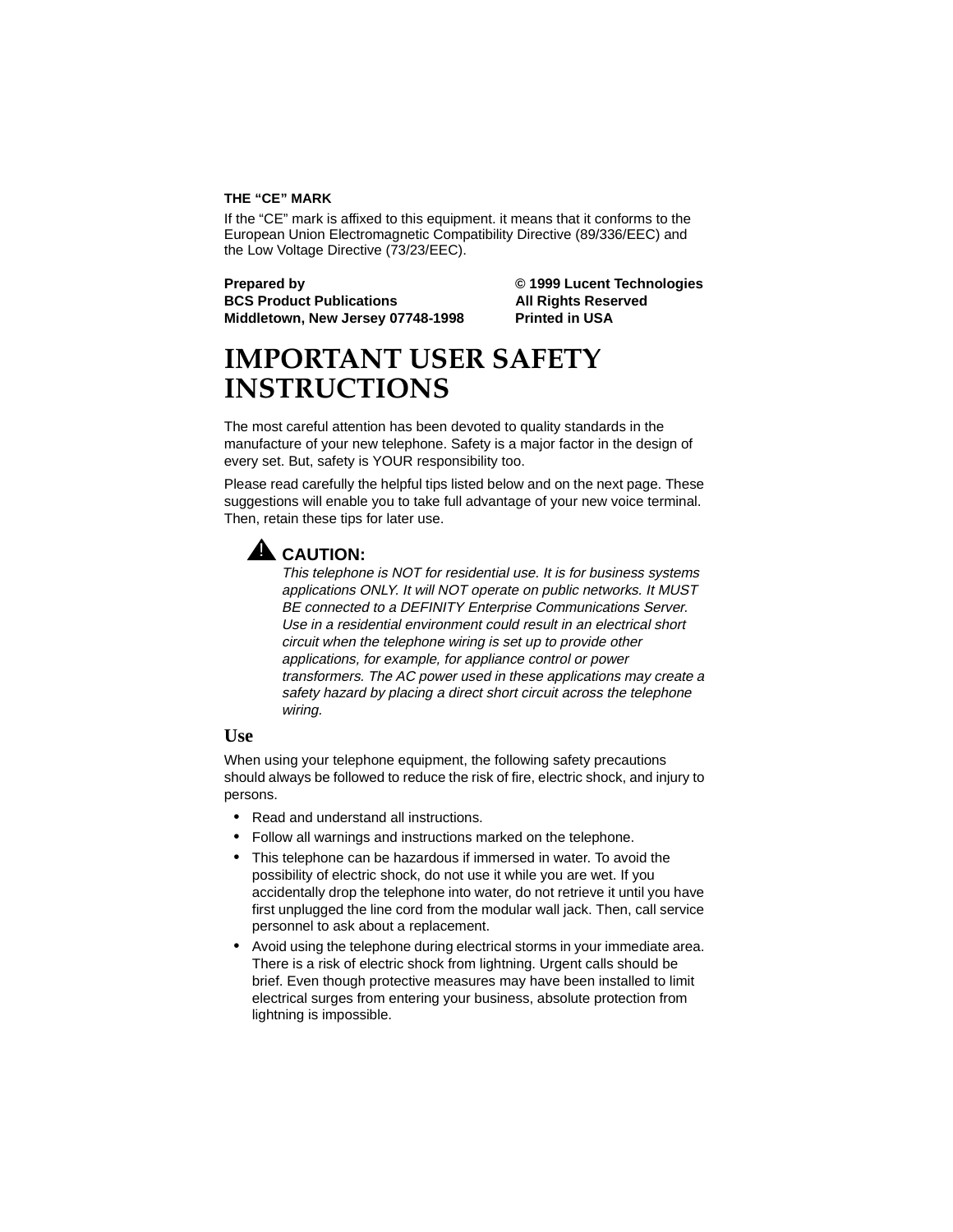#### **THE "CE" MARK**

If the "CE" mark is affixed to this equipment. it means that it conforms to the European Union Electromagnetic Compatibility Directive (89/336/EEC) and the Low Voltage Directive (73/23/EEC).

**BCS Product Publications All Rights Reserved** Middletown, New Jersey 07748-1998 Printed in USA

**Prepared by © 1999 Lucent Technologies**

## **IMPORTANT USER SAFETY INSTRUCTIONS**

The most careful attention has been devoted to quality standards in the manufacture of your new telephone. Safety is a major factor in the design of every set. But, safety is YOUR responsibility too.

Please read carefully the helpful tips listed below and on the next page. These suggestions will enable you to take full advantage of your new voice terminal. Then, retain these tips for later use.

## **A** CAUTION:

This telephone is NOT for residential use. It is for business systems applications ONLY. It will NOT operate on public networks. It MUST BE connected to a DEFINITY Enterprise Communications Server. Use in a residential environment could result in an electrical short circuit when the telephone wiring is set up to provide other applications, for example, for appliance control or power transformers. The AC power used in these applications may create a safety hazard by placing a direct short circuit across the telephone wiring.

### **Use**

When using your telephone equipment, the following safety precautions should always be followed to reduce the risk of fire, electric shock, and injury to persons.

- Read and understand all instructions.
- Follow all warnings and instructions marked on the telephone.
- This telephone can be hazardous if immersed in water. To avoid the possibility of electric shock, do not use it while you are wet. If you accidentally drop the telephone into water, do not retrieve it until you have first unplugged the line cord from the modular wall jack. Then, call service personnel to ask about a replacement.
- Avoid using the telephone during electrical storms in your immediate area. There is a risk of electric shock from lightning. Urgent calls should be brief. Even though protective measures may have been installed to limit electrical surges from entering your business, absolute protection from lightning is impossible.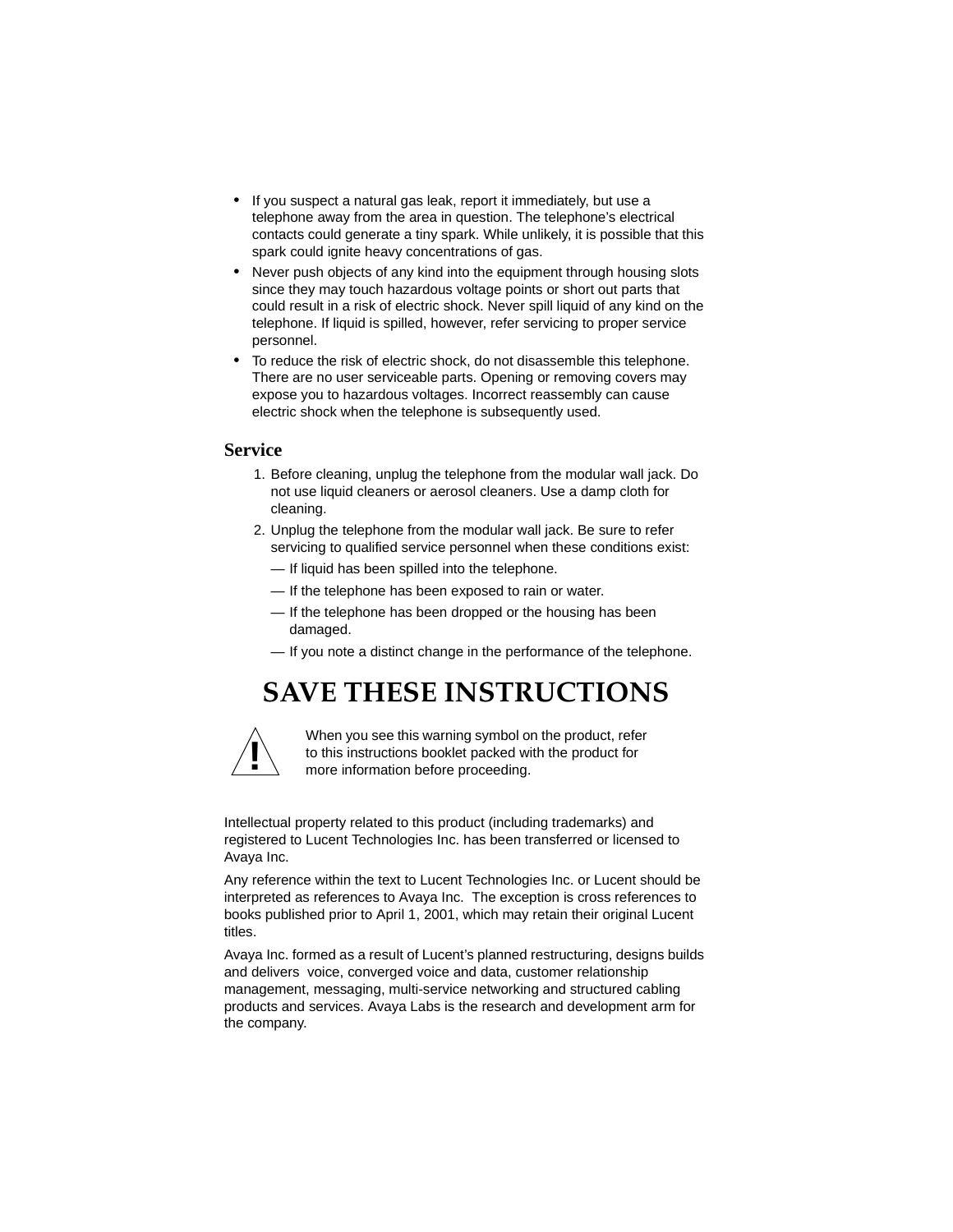- If you suspect a natural gas leak, report it immediately, but use a telephone away from the area in question. The telephone's electrical contacts could generate a tiny spark. While unlikely, it is possible that this spark could ignite heavy concentrations of gas.
- Never push objects of any kind into the equipment through housing slots since they may touch hazardous voltage points or short out parts that could result in a risk of electric shock. Never spill liquid of any kind on the telephone. If liquid is spilled, however, refer servicing to proper service personnel.
- To reduce the risk of electric shock, do not disassemble this telephone. There are no user serviceable parts. Opening or removing covers may expose you to hazardous voltages. Incorrect reassembly can cause electric shock when the telephone is subsequently used.

## **Service**

- 1. Before cleaning, unplug the telephone from the modular wall jack. Do not use liquid cleaners or aerosol cleaners. Use a damp cloth for cleaning.
- 2. Unplug the telephone from the modular wall jack. Be sure to refer servicing to qualified service personnel when these conditions exist:
	- If liquid has been spilled into the telephone.
	- If the telephone has been exposed to rain or water.
	- If the telephone has been dropped or the housing has been damaged.
	- If you note a distinct change in the performance of the telephone.

## **SAVE THESE INSTRUCTIONS**



When you see this warning symbol on the product, refer to this instructions booklet packed with the product for **!** more information before proceeding.

Intellectual property related to this product (including trademarks) and registered to Lucent Technologies Inc. has been transferred or licensed to Avaya Inc.

Any reference within the text to Lucent Technologies Inc. or Lucent should be interpreted as references to Avaya Inc. The exception is cross references to books published prior to April 1, 2001, which may retain their original Lucent titles.

Avaya Inc. formed as a result of Lucent's planned restructuring, designs builds and delivers voice, converged voice and data, customer relationship management, messaging, multi-service networking and structured cabling products and services. Avaya Labs is the research and development arm for the company.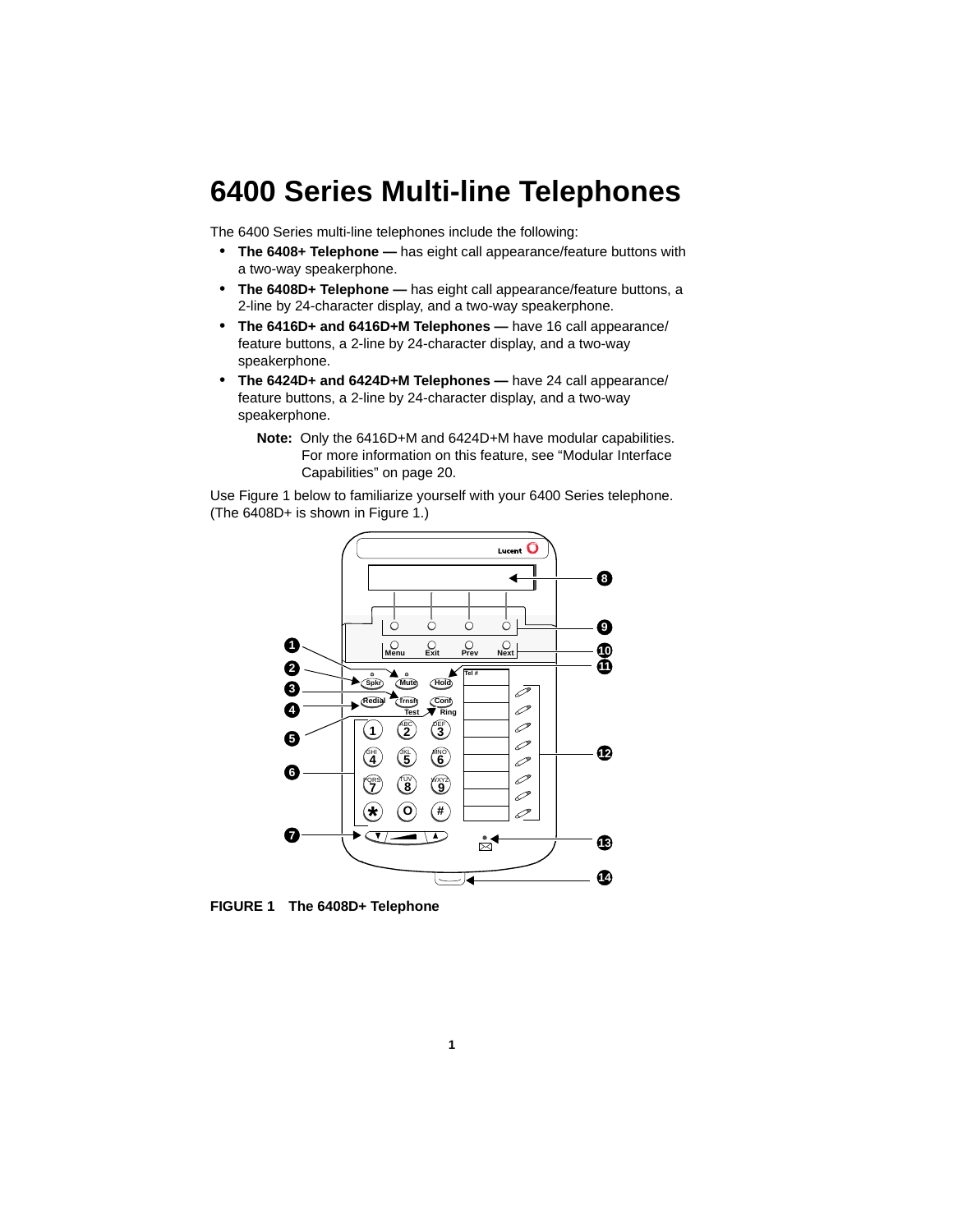# **6400 Series Multi-line Telephones**

The 6400 Series multi-line telephones include the following:

- **The 6408+ Telephone —** has eight call appearance/feature buttons with a two-way speakerphone.
- **The 6408D+ Telephone —** has eight call appearance/feature buttons, a 2-line by 24-character display, and a two-way speakerphone.
- **The 6416D+ and 6416D+M Telephones** have 16 call appearance/ feature buttons, a 2-line by 24-character display, and a two-way speakerphone.
- **The 6424D+ and 6424D+M Telephones —** have 24 call appearance/ feature buttons, a 2-line by 24-character display, and a two-way speakerphone.
	- **Note:** Only the 6416D+M and 6424D+M have modular capabilities. For more information on this feature, see ["Modular Interface](#page-23-0)  [Capabilities" on page 20.](#page-23-0)

Use Figure 1 below to familiarize yourself with your 6400 Series telephone. (The 6408D+ is shown in Figure 1.)



**FIGURE 1 The 6408D+ Telephone**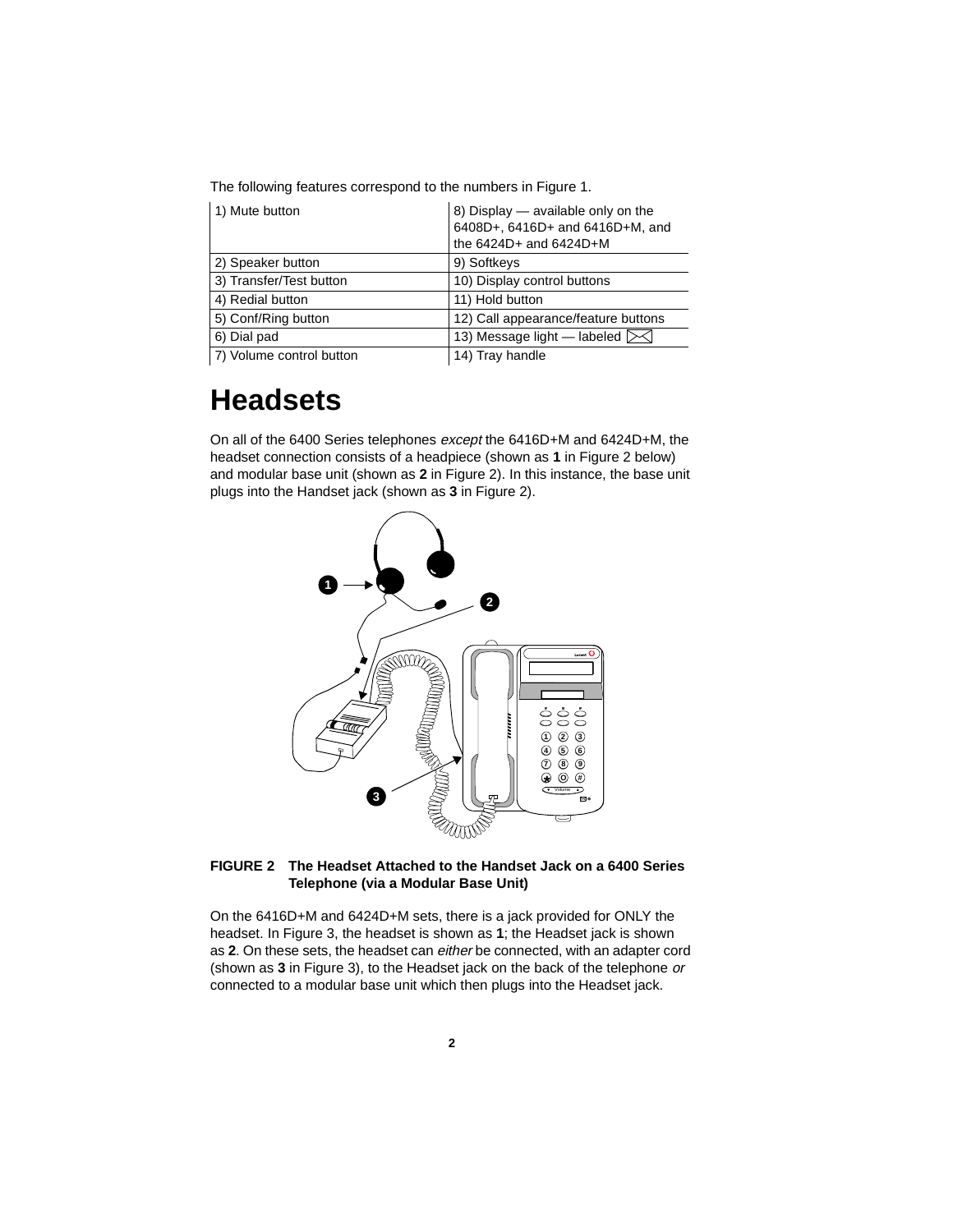The following features correspond to the numbers in Figure 1.

| 1) Mute button           | 8) Display — available only on the<br>6408D+, 6416D+ and 6416D+M, and<br>the $6424D+$ and $6424D+M$ |
|--------------------------|-----------------------------------------------------------------------------------------------------|
| 2) Speaker button        | 9) Softkeys                                                                                         |
| 3) Transfer/Test button  | 10) Display control buttons                                                                         |
| 4) Redial button         | 11) Hold button                                                                                     |
| 5) Conf/Ring button      | 12) Call appearance/feature buttons                                                                 |
| 6) Dial pad              | 13) Message light - labeled $\geq$                                                                  |
| 7) Volume control button | 14) Tray handle                                                                                     |

## **Headsets**

On all of the 6400 Series telephones except the 6416D+M and 6424D+M, the headset connection consists of a headpiece (shown as **1** in Figure 2 below) and modular base unit (shown as **2** in Figure 2). In this instance, the base unit plugs into the Handset jack (shown as **3** in Figure 2).



#### **FIGURE 2 The Headset Attached to the Handset Jack on a 6400 Series Telephone (via a Modular Base Unit)**

On the 6416D+M and 6424D+M sets, there is a jack provided for ONLY the headset. In Figure 3, the headset is shown as **1**; the Headset jack is shown as **2**. On these sets, the headset can either be connected, with an adapter cord (shown as **3** in Figure 3), to the Headset jack on the back of the telephone or connected to a modular base unit which then plugs into the Headset jack.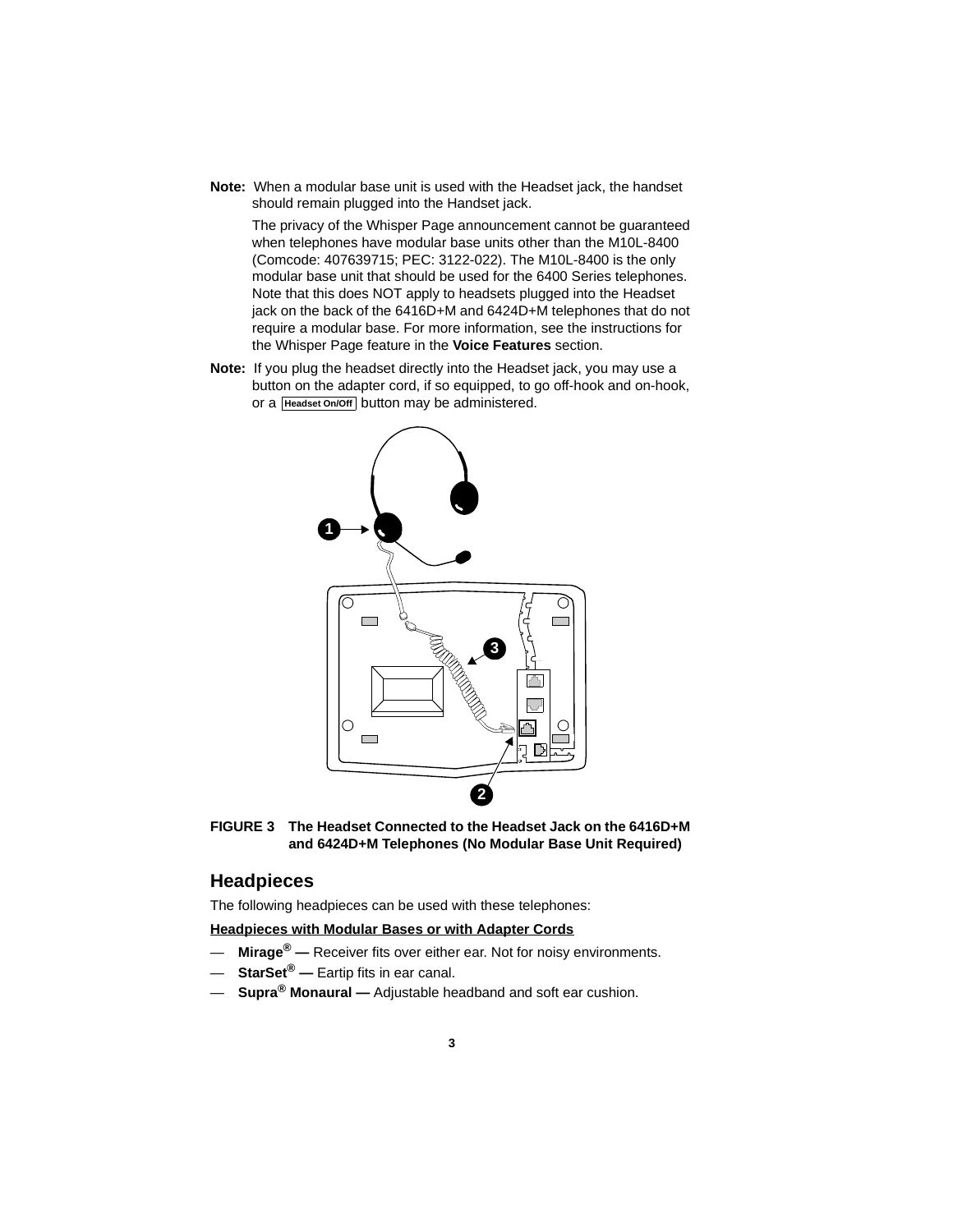**Note:** When a modular base unit is used with the Headset jack, the handset should remain plugged into the Handset jack.

The privacy of the Whisper Page announcement cannot be guaranteed when telephones have modular base units other than the M10L-8400 (Comcode: 407639715; PEC: 3122-022). The M10L-8400 is the only modular base unit that should be used for the 6400 Series telephones. Note that this does NOT apply to headsets plugged into the Headset jack on the back of the 6416D+M and 6424D+M telephones that do not require a modular base. For more information, see the instructions for the Whisper Page feature in the **Voice Features** section.

**Note:** If you plug the headset directly into the Headset jack, you may use a button on the adapter cord, if so equipped, to go off-hook and on-hook, or a **Headset On/Off** button may be administered.



**FIGURE 3 The Headset Connected to the Headset Jack on the 6416D+M and 6424D+M Telephones (No Modular Base Unit Required)**

## **Headpieces**

The following headpieces can be used with these telephones:

#### **Headpieces with Modular Bases or with Adapter Cords**

- **Mirage® —** Receiver fits over either ear. Not for noisy environments.
- **StarSet® —** Eartip fits in ear canal.
- **Supra® Monaural —** Adjustable headband and soft ear cushion.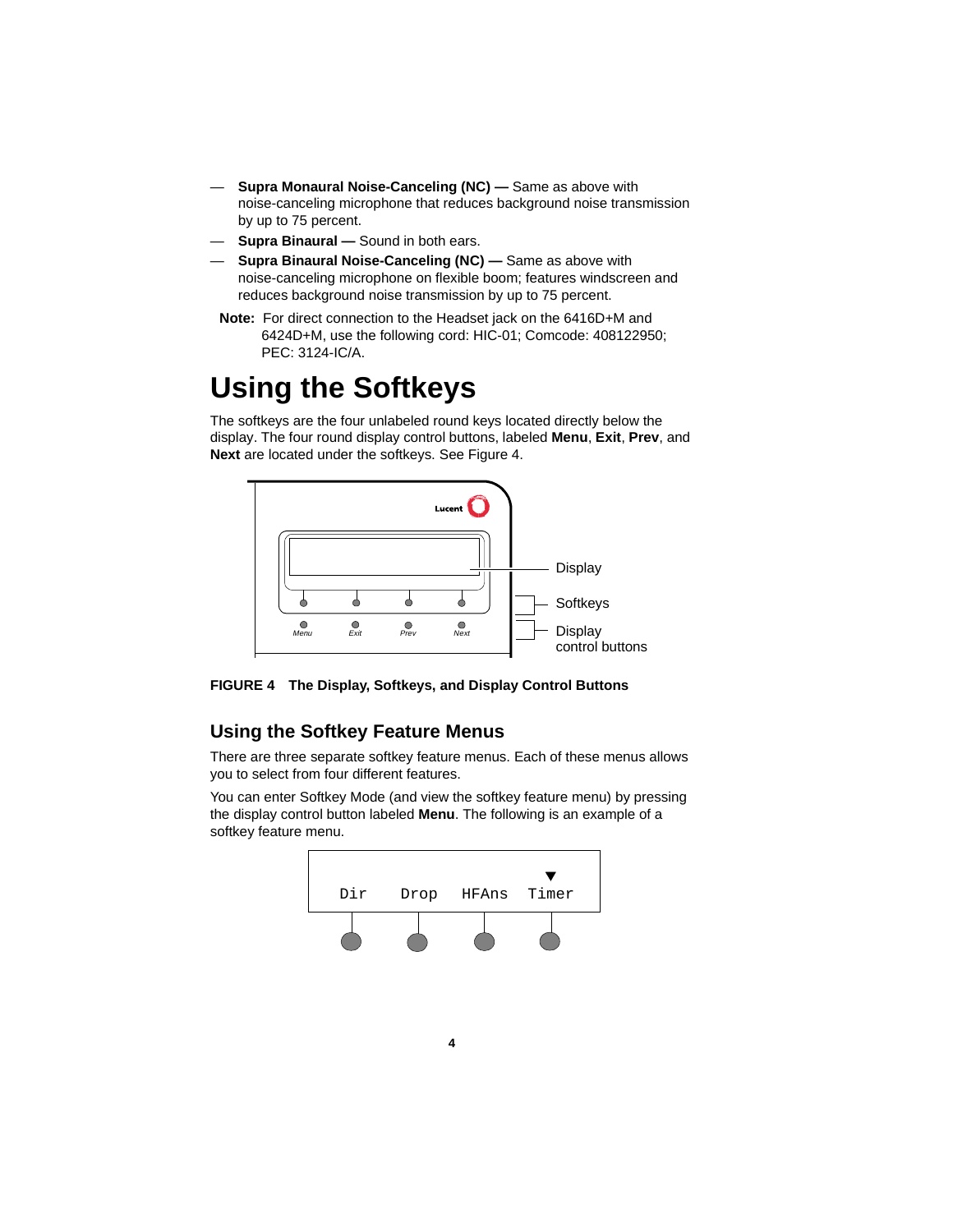- **Supra Monaural Noise-Canceling (NC) —** Same as above with noise-canceling microphone that reduces background noise transmission by up to 75 percent.
- **Supra Binaural** Sound in both ears.
- **Supra Binaural Noise-Canceling (NC) —** Same as above with noise-canceling microphone on flexible boom; features windscreen and reduces background noise transmission by up to 75 percent.
- **Note:** For direct connection to the Headset jack on the 6416D+M and 6424D+M, use the following cord: HIC-01; Comcode: 408122950; PEC: 3124-IC/A.

## **Using the Softkeys**

The softkeys are the four unlabeled round keys located directly below the display. The four round display control buttons, labeled **Menu**, **Exit**, **Prev**, and **Next** are located under the softkeys. See Figure 4.



**FIGURE 4 The Display, Softkeys, and Display Control Buttons**

## **Using the Softkey Feature Menus**

There are three separate softkey feature menus. Each of these menus allows you to select from four different features.

You can enter Softkey Mode (and view the softkey feature menu) by pressing the display control button labeled **Menu**. The following is an example of a softkey feature menu.

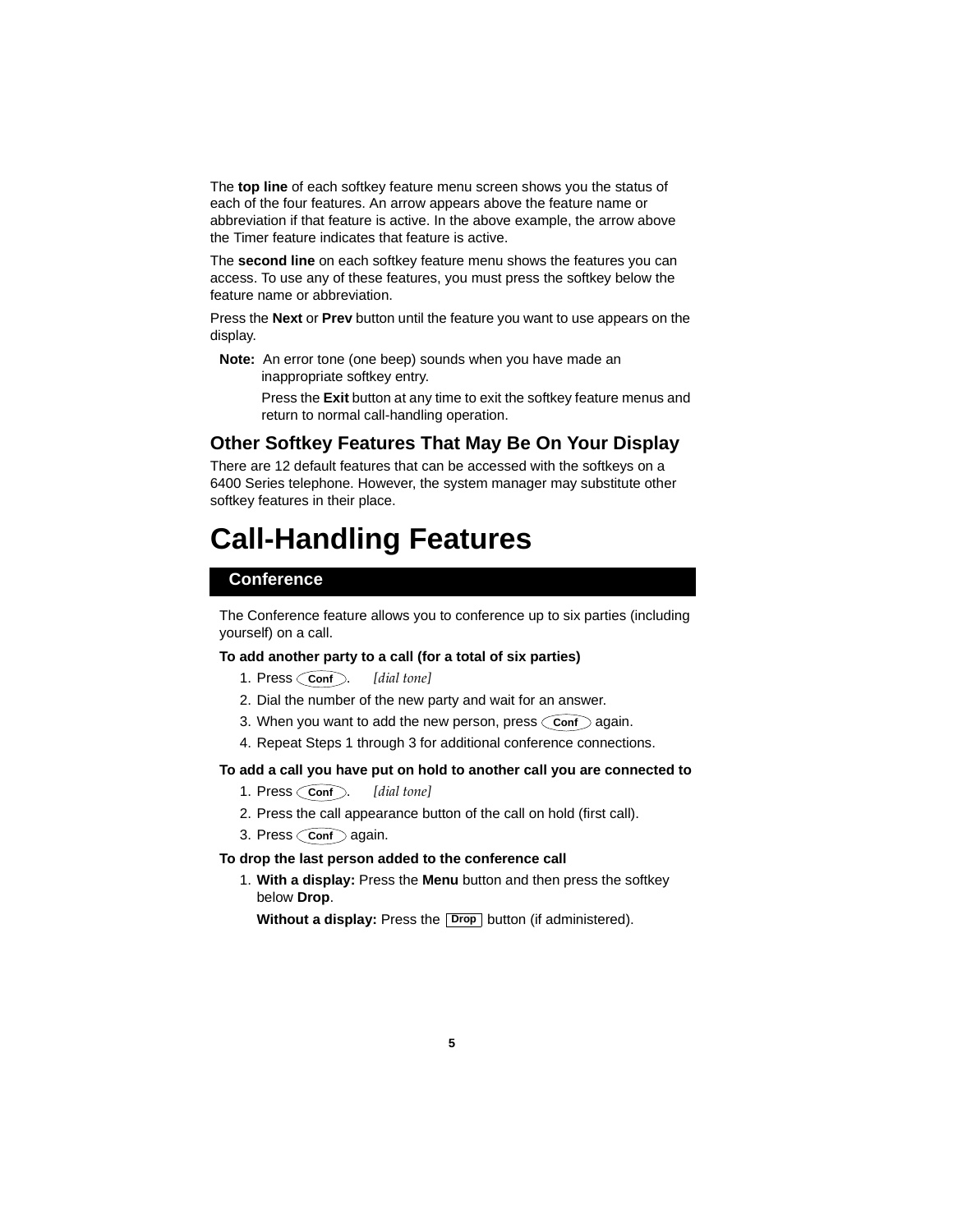The **top line** of each softkey feature menu screen shows you the status of each of the four features. An arrow appears above the feature name or abbreviation if that feature is active. In the above example, the arrow above the Timer feature indicates that feature is active.

The **second line** on each softkey feature menu shows the features you can access. To use any of these features, you must press the softkey below the feature name or abbreviation.

Press the **Next** or **Prev** button until the feature you want to use appears on the display.

**Note:** An error tone (one beep) sounds when you have made an inappropriate softkey entry.

> Press the **Exit** button at any time to exit the softkey feature menus and return to normal call-handling operation.

## **Other Softkey Features That May Be On Your Display**

There are 12 default features that can be accessed with the softkeys on a 6400 Series telephone. However, the system manager may substitute other softkey features in their place.

## **Call-Handling Features**

### **Conference**

The Conference feature allows you to conference up to six parties (including yourself) on a call.

#### **To add another party to a call (for a total of six parties)**

- 1. Press Conf. [dial tone]
- 2. Dial the number of the new party and wait for an answer.
- 3. When you want to add the new person, press  $\zeta$  conf  $\gtrsim$  again.
- 4. Repeat Steps 1 through 3 for additional conference connections.

#### **To add a call you have put on hold to another call you are connected to**

- 1. Press Conf. [dial tone]
- 2. Press the call appearance button of the call on hold (first call).
- 3. Press  $\bigcirc$  conf $\bigcirc$  again.

#### **To drop the last person added to the conference call**

1. **With a display:** Press the **Menu** button and then press the softkey below **Drop**.

**Without a display:** Press the **Drop** button (if administered).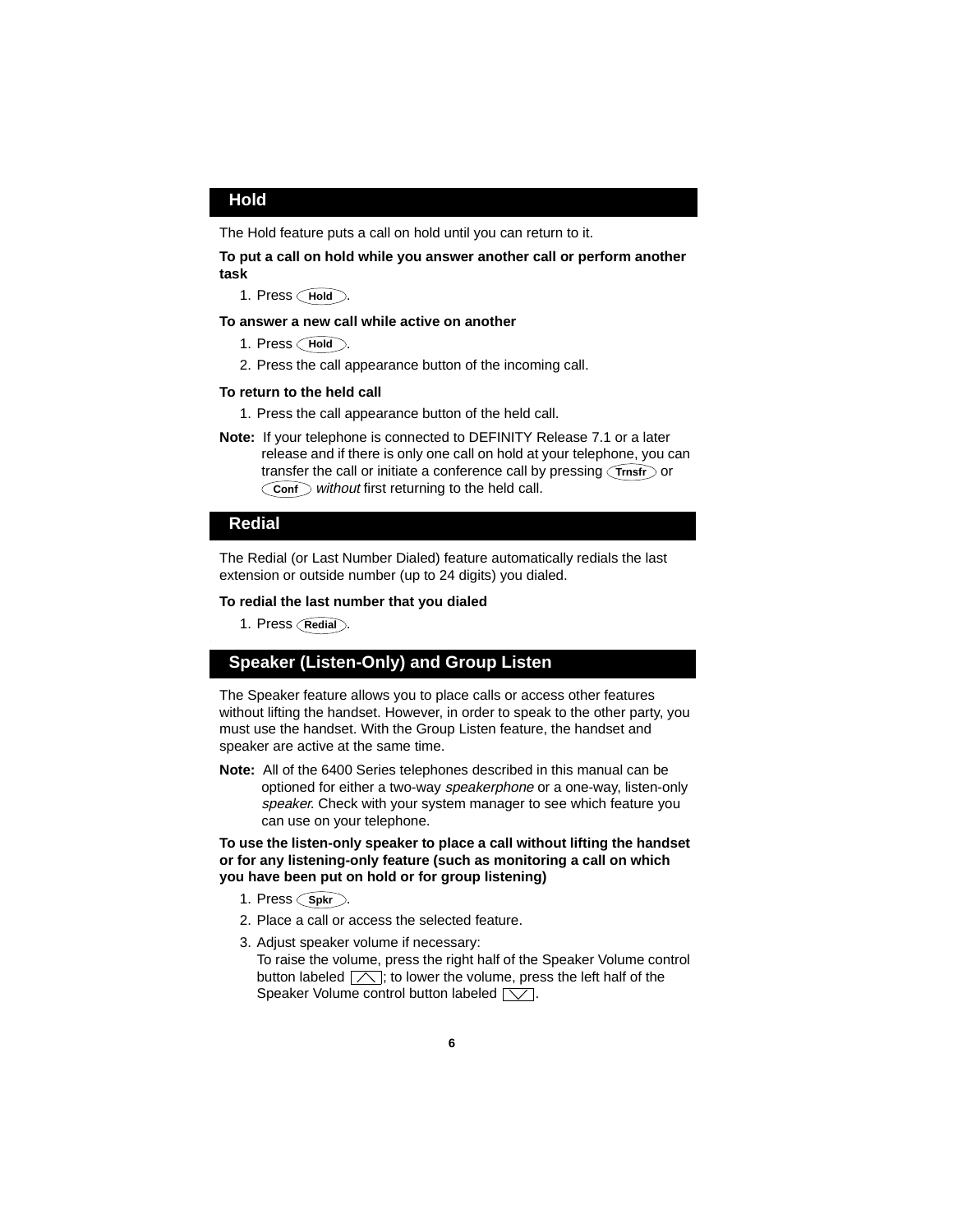### **Hold**

The Hold feature puts a call on hold until you can return to it.

#### **To put a call on hold while you answer another call or perform another task**

1. Press **Hold**.

#### **To answer a new call while active on another**

- 1. Press **Hold**.
- 2. Press the call appearance button of the incoming call.

#### **To return to the held call**

- 1. Press the call appearance button of the held call.
- **Note:** If your telephone is connected to DEFINITY Release 7.1 or a later release and if there is only one call on hold at your telephone, you can transfer the call or initiate a conference call by pressing  $\lceil\mathsf{Trnsfr}\rceil$  or Conf without first returning to the held call.

### **Redial**

The Redial (or Last Number Dialed) feature automatically redials the last extension or outside number (up to 24 digits) you dialed.

#### **To redial the last number that you dialed**

1. Press **Redial**.

### **Speaker (Listen-Only) and Group Listen**

The Speaker feature allows you to place calls or access other features without lifting the handset. However, in order to speak to the other party, you must use the handset. With the Group Listen feature, the handset and speaker are active at the same time.

**Note:** All of the 6400 Series telephones described in this manual can be optioned for either a two-way speakerphone or a one-way, listen-only speaker. Check with your system manager to see which feature you can use on your telephone.

**To use the listen-only speaker to place a call without lifting the handset or for any listening-only feature (such as monitoring a call on which you have been put on hold or for group listening)**

- 1. Press (Spkr).
- 2. Place a call or access the selected feature.
- 3. Adjust speaker volume if necessary: To raise the volume, press the right half of the Speaker Volume control button labeled  $\lfloor \nearrow \rfloor$ ; to lower the volume, press the left half of the Speaker Volume control button labeled  $\lceil\bigvee\rceil$ .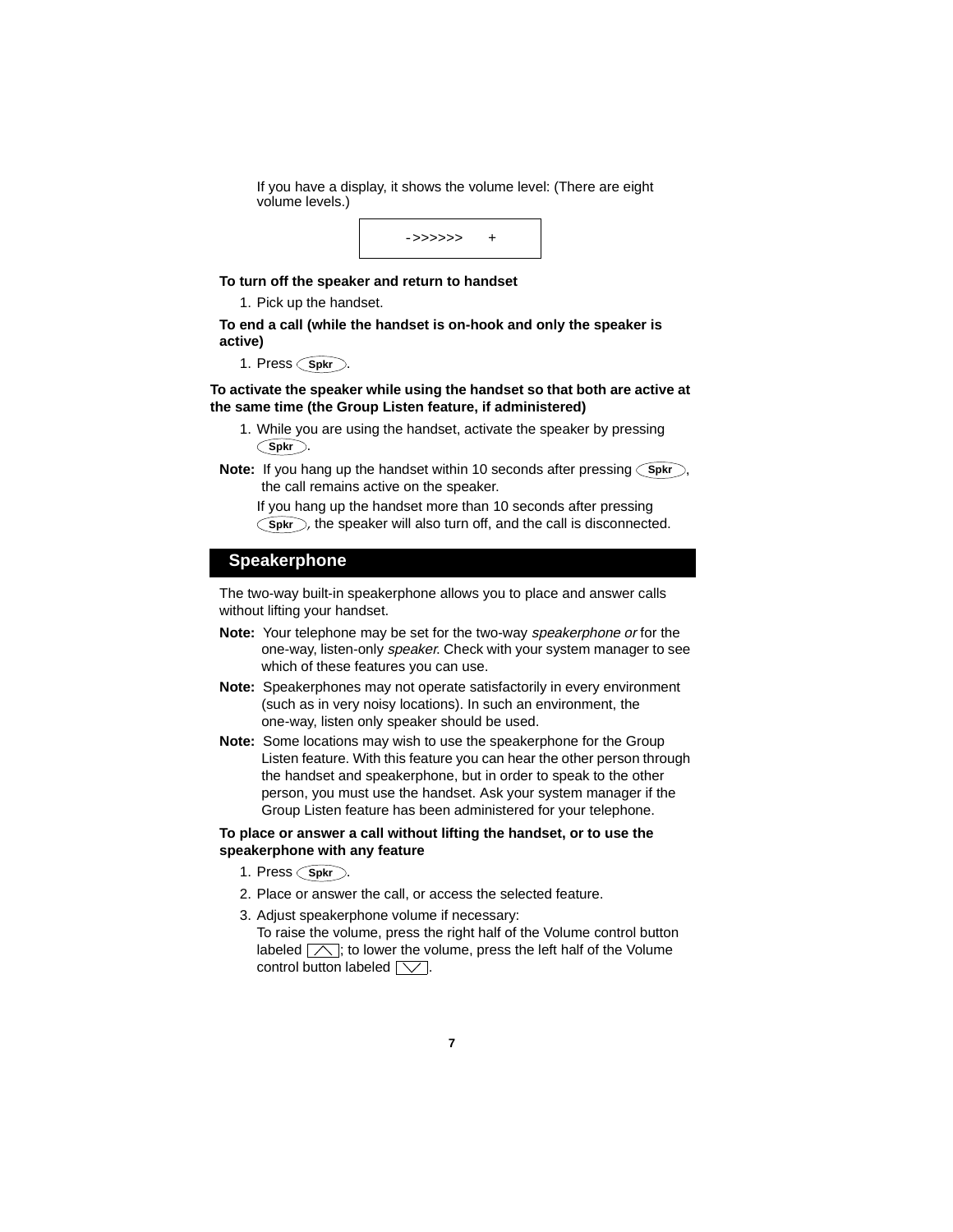If you have a display, it shows the volume level: (There are eight volume levels.)



#### **To turn off the speaker and return to handset**

1. Pick up the handset.

#### **To end a call (while the handset is on-hook and only the speaker is active)**

1. Press (Spkr).

#### **To activate the speaker while using the handset so that both are active at the same time (the Group Listen feature, if administered)**

- 1. While you are using the handset, activate the speaker by pressing . **Spkr**
- **Note:** If you hang up the handset within 10 seconds after pressing (Spkr), the call remains active on the speaker.

If you hang up the handset more than 10 seconds after pressing Spkr), the speaker will also turn off, and the call is disconnected.

### **Speakerphone**

The two-way built-in speakerphone allows you to place and answer calls without lifting your handset.

- **Note:** Your telephone may be set for the two-way speakerphone or for the one-way, listen-only speaker. Check with your system manager to see which of these features you can use.
- **Note:** Speakerphones may not operate satisfactorily in every environment (such as in very noisy locations). In such an environment, the one-way, listen only speaker should be used.
- **Note:** Some locations may wish to use the speakerphone for the Group Listen feature. With this feature you can hear the other person through the handset and speakerphone, but in order to speak to the other person, you must use the handset. Ask your system manager if the Group Listen feature has been administered for your telephone.

#### **To place or answer a call without lifting the handset, or to use the speakerphone with any feature**

- 1. Press (Spkr).
- 2. Place or answer the call, or access the selected feature.
- 3. Adjust speakerphone volume if necessary: To raise the volume, press the right half of the Volume control button labeled  $\Box$ ; to lower the volume, press the left half of the Volume control button labeled  $\sqrt{\sqrt{ }}$ .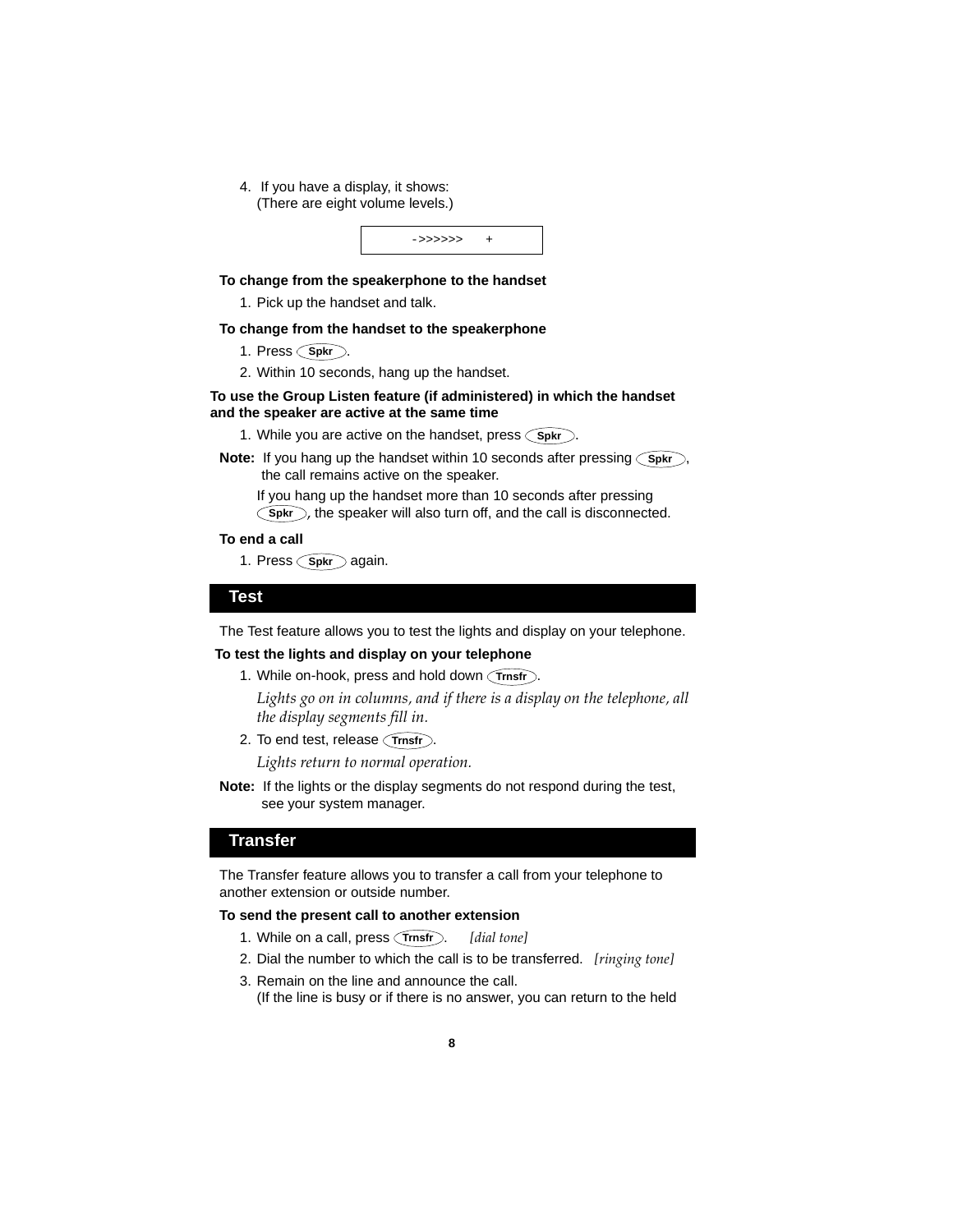4. If you have a display, it shows: (There are eight volume levels.)



### **To change from the speakerphone to the handset**

1. Pick up the handset and talk.

#### **To change from the handset to the speakerphone**

- 1. Press **Spkr**.
- 2. Within 10 seconds, hang up the handset.

#### **To use the Group Listen feature (if administered) in which the handset and the speaker are active at the same time**

- 1. While you are active on the handset, press  $\bigcirc$ spkr...
- **Note:** If you hang up the handset within 10 seconds after pressing (Spkr), the call remains active on the speaker.

If you hang up the handset more than 10 seconds after pressing **Spkr**), the speaker will also turn off, and the call is disconnected.

#### **To end a call**

1. Press Spkr again.

#### **Test**

The Test feature allows you to test the lights and display on your telephone.

#### **To test the lights and display on your telephone**

1. While on-hook, press and hold down *(Trnsfr)*.

*Lights go on in columns, and if there is a display on the telephone, all the display segments fill in.*

2. To end test, release *(Trnsfr)*.

*Lights return to normal operation.*

**Note:** If the lights or the display segments do not respond during the test, see your system manager.

### **Transfer**

The Transfer feature allows you to transfer a call from your telephone to another extension or outside number.

#### **To send the present call to another extension**

- 1. While on a call, press *(Trnsfr).* [dial tone]
- 2. Dial the number to which the call is to be transferred. *[ringing tone]*
- 3. Remain on the line and announce the call. (If the line is busy or if there is no answer, you can return to the held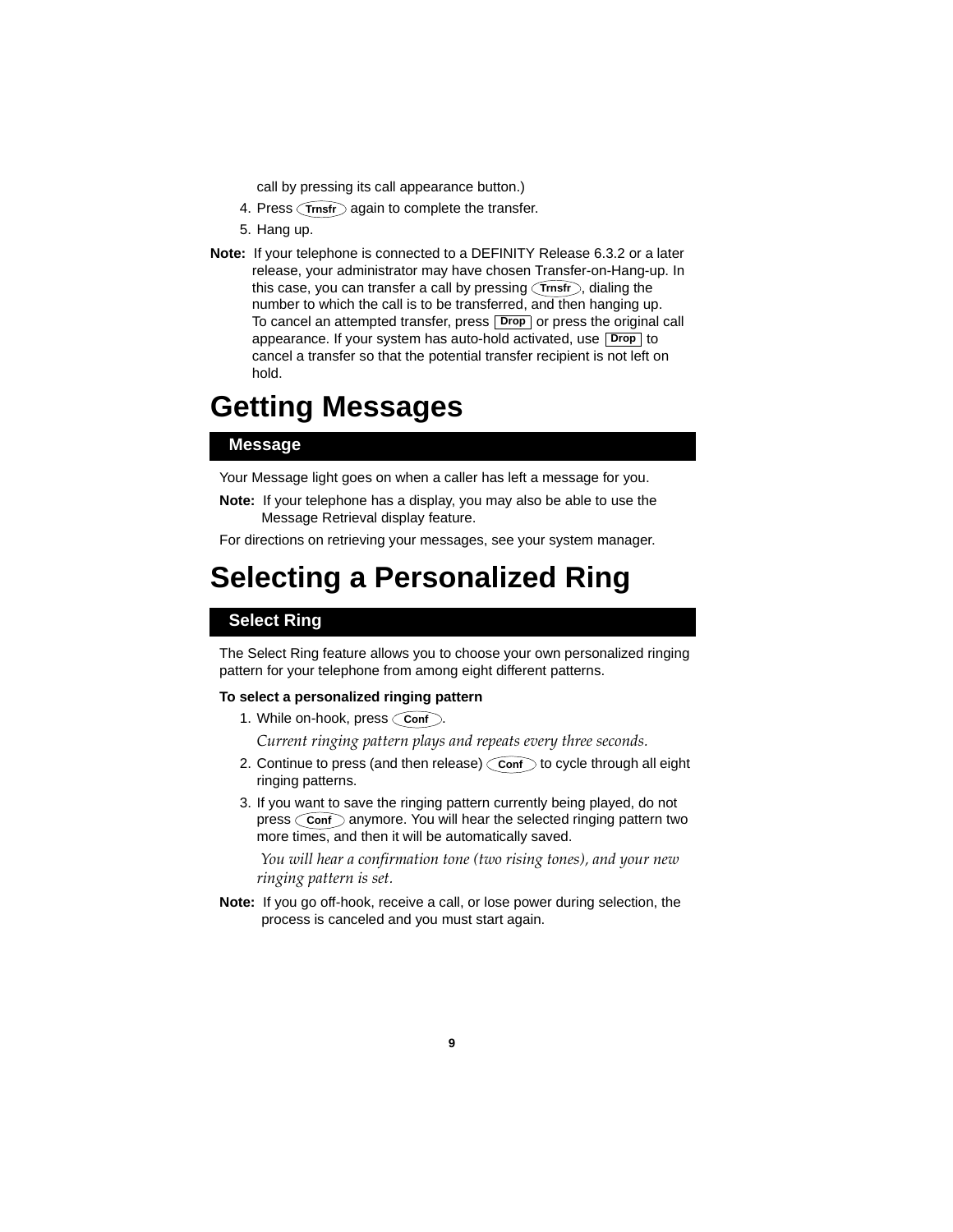call by pressing its call appearance button.)

- 4. Press *Trnsfr* again to complete the transfer.
- 5. Hang up.
- **Note:** If your telephone is connected to a DEFINITY Release 6.3.2 or a later release, your administrator may have chosen Transfer-on-Hang-up. In this case, you can transfer a call by pressing (Trnsfr), dialing the number to which the call is to be transferred, and then hanging up. To cancel an attempted transfer, press **Drop** or press the original call appearance. If your system has auto-hold activated, use **Drop** to cancel a transfer so that the potential transfer recipient is not left on hold.

## **Getting Messages**

### **Message**

Your Message light goes on when a caller has left a message for you.

**Note:** If your telephone has a display, you may also be able to use the Message Retrieval display feature.

For directions on retrieving your messages, see your system manager.

## **Selecting a Personalized Ring**

## **Select Ring**

The Select Ring feature allows you to choose your own personalized ringing pattern for your telephone from among eight different patterns.

#### **To select a personalized ringing pattern**

1. While on-hook, press  $\zeta$  **Conf** .

*Current ringing pattern plays and repeats every three seconds.*

- 2. Continue to press (and then release)  $\bigcirc$  conf  $\bigcirc$  to cycle through all eight ringing patterns.
- 3. If you want to save the ringing pattern currently being played, do not press  $\bigcirc$  conf  $\bigcirc$  anymore. You will hear the selected ringing pattern two more times, and then it will be automatically saved.

 *You will hear a confirmation tone (two rising tones), and your new ringing pattern is set.*

**Note:** If you go off-hook, receive a call, or lose power during selection, the process is canceled and you must start again.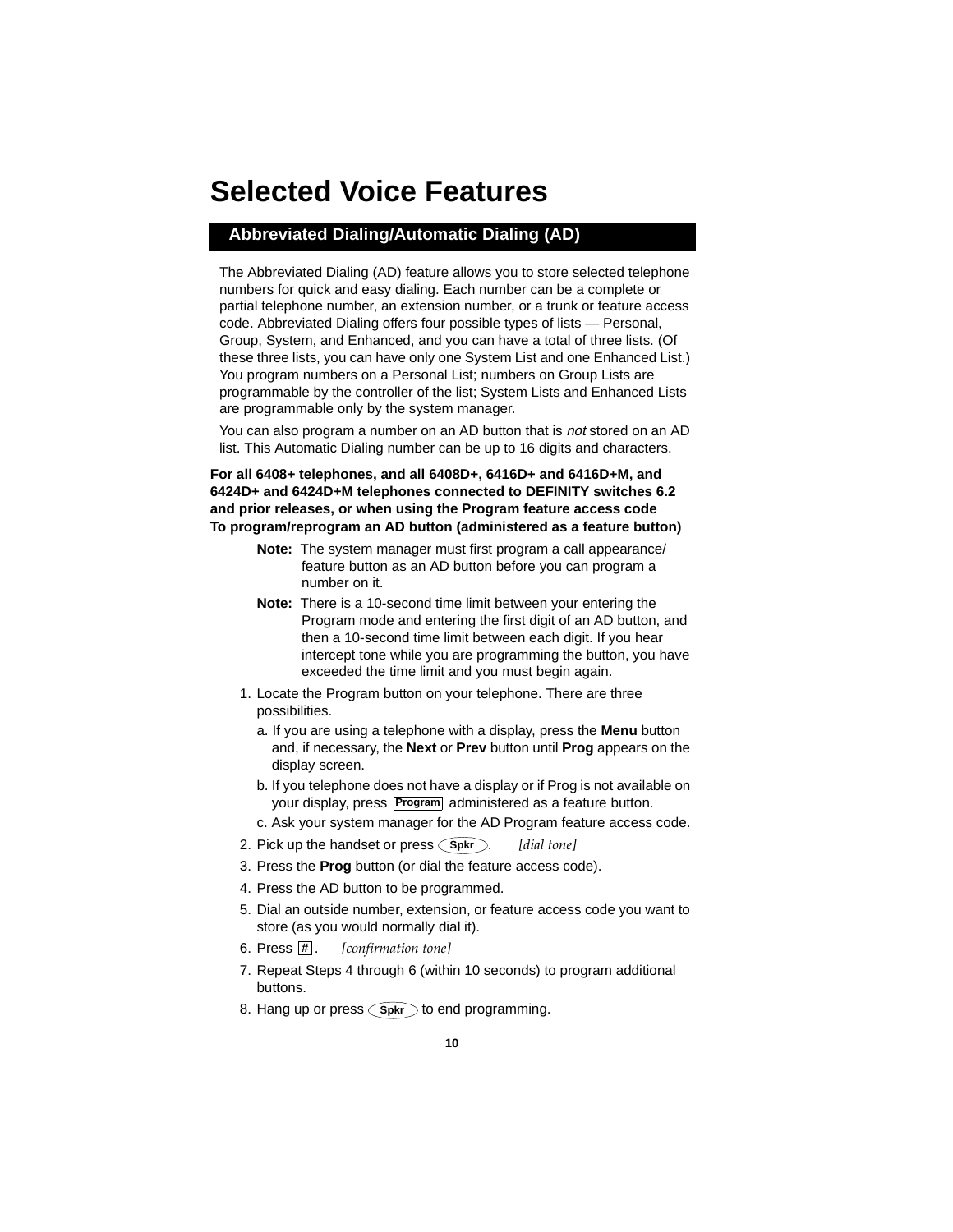## **Selected Voice Features**

## **Abbreviated Dialing/Automatic Dialing (AD)**

The Abbreviated Dialing (AD) feature allows you to store selected telephone numbers for quick and easy dialing. Each number can be a complete or partial telephone number, an extension number, or a trunk or feature access code. Abbreviated Dialing offers four possible types of lists — Personal, Group, System, and Enhanced, and you can have a total of three lists. (Of these three lists, you can have only one System List and one Enhanced List.) You program numbers on a Personal List; numbers on Group Lists are programmable by the controller of the list; System Lists and Enhanced Lists are programmable only by the system manager.

You can also program a number on an AD button that is not stored on an AD list. This Automatic Dialing number can be up to 16 digits and characters.

#### **For all 6408+ telephones, and all 6408D+, 6416D+ and 6416D+M, and 6424D+ and 6424D+M telephones connected to DEFINITY switches 6.2 and prior releases, or when using the Program feature access code To program/reprogram an AD button (administered as a feature button)**

- **Note:** The system manager must first program a call appearance/ feature button as an AD button before you can program a number on it.
- **Note:** There is a 10-second time limit between your entering the Program mode and entering the first digit of an AD button, and then a 10-second time limit between each digit. If you hear intercept tone while you are programming the button, you have exceeded the time limit and you must begin again.
- 1. Locate the Program button on your telephone. There are three possibilities.
	- a. If you are using a telephone with a display, press the **Menu** button and, if necessary, the **Next** or **Prev** button until **Prog** appears on the display screen.
	- b. If you telephone does not have a display or if Prog is not available on your display, press **Program** administered as a feature button.
	- c. Ask your system manager for the AD Program feature access code.
- 2. Pick up the handset or press  $\bigcirc$ **s**pkr $\bigcirc$ . [dial tone]
- 3. Press the **Prog** button (or dial the feature access code).
- 4. Press the AD button to be programmed.
- 5. Dial an outside number, extension, or feature access code you want to store (as you would normally dial it).
- [confirmation tone] **#**
- 7. Repeat Steps 4 through 6 (within 10 seconds) to program additional buttons.
- 8. Hang up or press (Spkr) to end programming.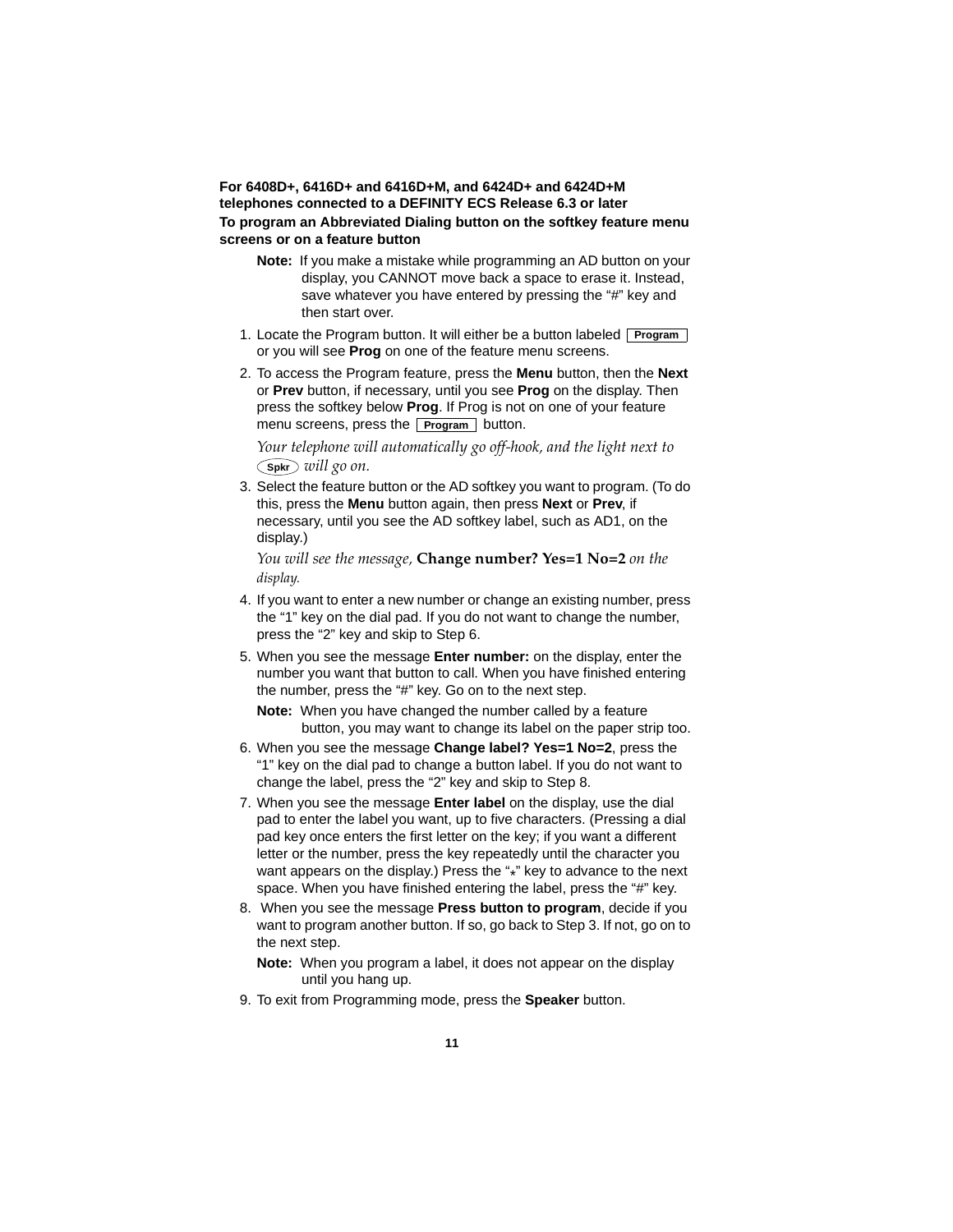#### **For 6408D+, 6416D+ and 6416D+M, and 6424D+ and 6424D+M telephones connected to a DEFINITY ECS Release 6.3 or later To program an Abbreviated Dialing button on the softkey feature menu screens or on a feature button**

- **Note:** If you make a mistake while programming an AD button on your display, you CANNOT move back a space to erase it. Instead, save whatever you have entered by pressing the "#" key and then start over.
- 1. Locate the Program button. It will either be a button labeled **Program** or you will see **Prog** on one of the feature menu screens.
- 2. To access the Program feature, press the **Menu** button, then the **Next** or **Prev** button, if necessary, until you see **Prog** on the display. Then press the softkey below **Prog**. If Prog is not on one of your feature menu screens, press the **Program** button.

*Your telephone will automatically go off-hook, and the light next to will go on.*  **Spkr**

3. Select the feature button or the AD softkey you want to program. (To do this, press the **Menu** button again, then press **Next** or **Prev**, if necessary, until you see the AD softkey label, such as AD1, on the display.)

*You will see the message,* **Change number? Yes=1 No=2** *on the display.*

- 4. If you want to enter a new number or change an existing number, press the "1" key on the dial pad. If you do not want to change the number, press the "2" key and skip to Step 6.
- 5. When you see the message **Enter number:** on the display, enter the number you want that button to call. When you have finished entering the number, press the "#" key. Go on to the next step.

**Note:** When you have changed the number called by a feature button, you may want to change its label on the paper strip too.

- 6. When you see the message **Change label? Yes=1 No=2**, press the "1" key on the dial pad to change a button label. If you do not want to change the label, press the "2" key and skip to Step 8.
- 7. When you see the message **Enter label** on the display, use the dial pad to enter the label you want, up to five characters. (Pressing a dial pad key once enters the first letter on the key; if you want a different letter or the number, press the key repeatedly until the character you want appears on the display.) Press the "\*" key to advance to the next space. When you have finished entering the label, press the "#" key.
- 8. When you see the message **Press button to program**, decide if you want to program another button. If so, go back to Step 3. If not, go on to the next step.

**Note:** When you program a label, it does not appear on the display until you hang up.

9. To exit from Programming mode, press the **Speaker** button.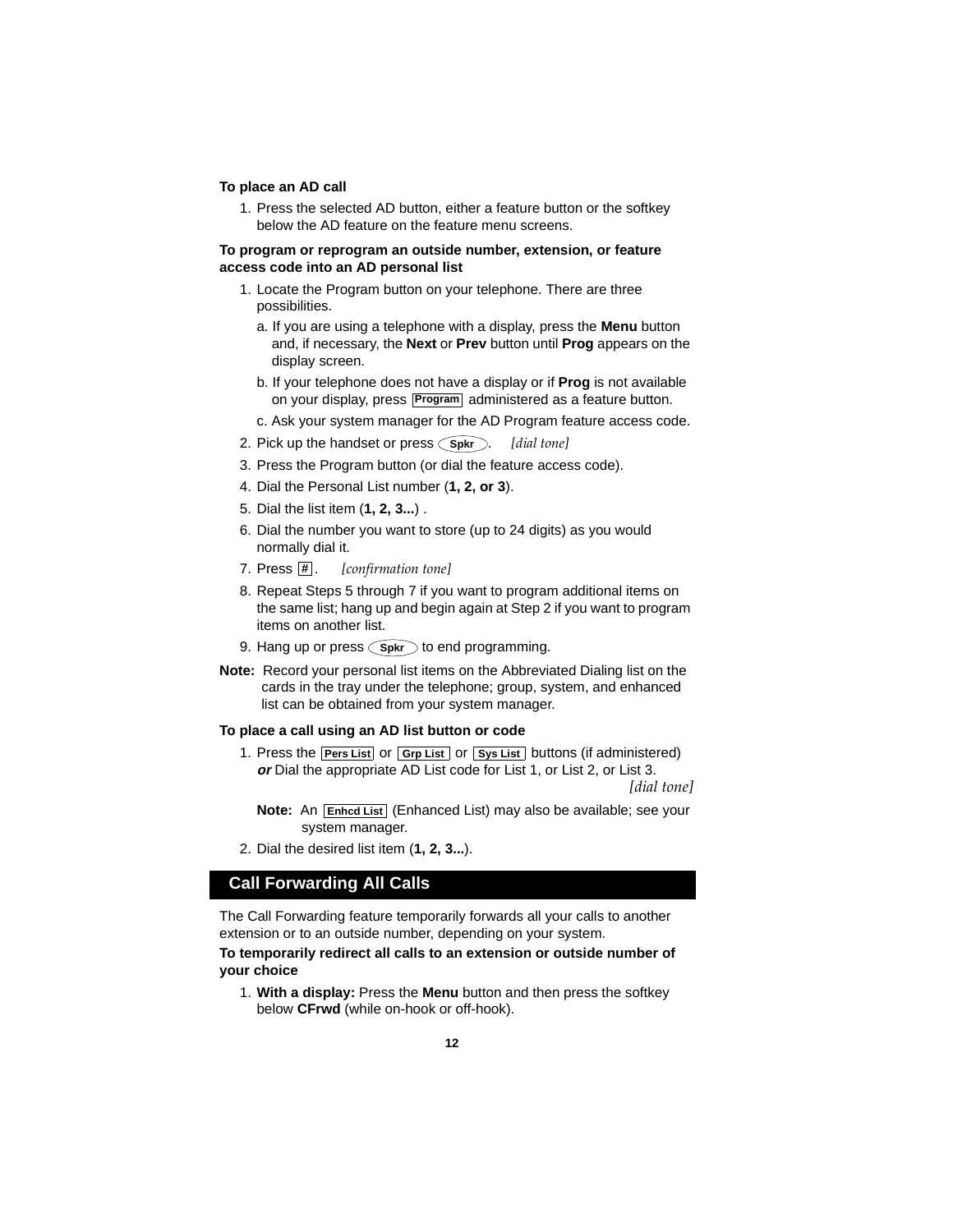#### **To place an AD call**

1. Press the selected AD button, either a feature button or the softkey below the AD feature on the feature menu screens.

#### **To program or reprogram an outside number, extension, or feature access code into an AD personal list**

- 1. Locate the Program button on your telephone. There are three possibilities.
	- a. If you are using a telephone with a display, press the **Menu** button and, if necessary, the **Next** or **Prev** button until **Prog** appears on the display screen.
	- b. If your telephone does not have a display or if **Prog** is not available on your display, press **Program** administered as a feature button.
	- c. Ask your system manager for the AD Program feature access code.
- 2. Pick up the handset or press  $\bigcirc$ spkr $\bigcirc$ . [dial tone]
- 3. Press the Program button (or dial the feature access code).
- 4. Dial the Personal List number (**1, 2, or 3**).
- 5. Dial the list item (**1, 2, 3...**) .
- 6. Dial the number you want to store (up to 24 digits) as you would normally dial it.
- [*confirmation tone*] 7. Press  $\overline{\mathbf{H}}$ .
- 8. Repeat Steps 5 through 7 if you want to program additional items on the same list; hang up and begin again at Step 2 if you want to program items on another list.
- 9. Hang up or press (Spkr) to end programming.
- **Note:** Record your personal list items on the Abbreviated Dialing list on the cards in the tray under the telephone; group, system, and enhanced list can be obtained from your system manager.

#### **To place a call using an AD list button or code**

1. Press the **Pers List** or **Grp List** or **Sys List** buttons (if administered) **or** Dial the appropriate AD List code for List 1, or List 2, or List 3. *[dial tone]*

**Note:** An **Enhcd List** (Enhanced List) may also be available; see your system manager.

2. Dial the desired list item (**1, 2, 3...**).

## **Call Forwarding All Calls**

The Call Forwarding feature temporarily forwards all your calls to another extension or to an outside number, depending on your system.

#### **To temporarily redirect all calls to an extension or outside number of your choice**

1. **With a display:** Press the **Menu** button and then press the softkey below **CFrwd** (while on-hook or off-hook).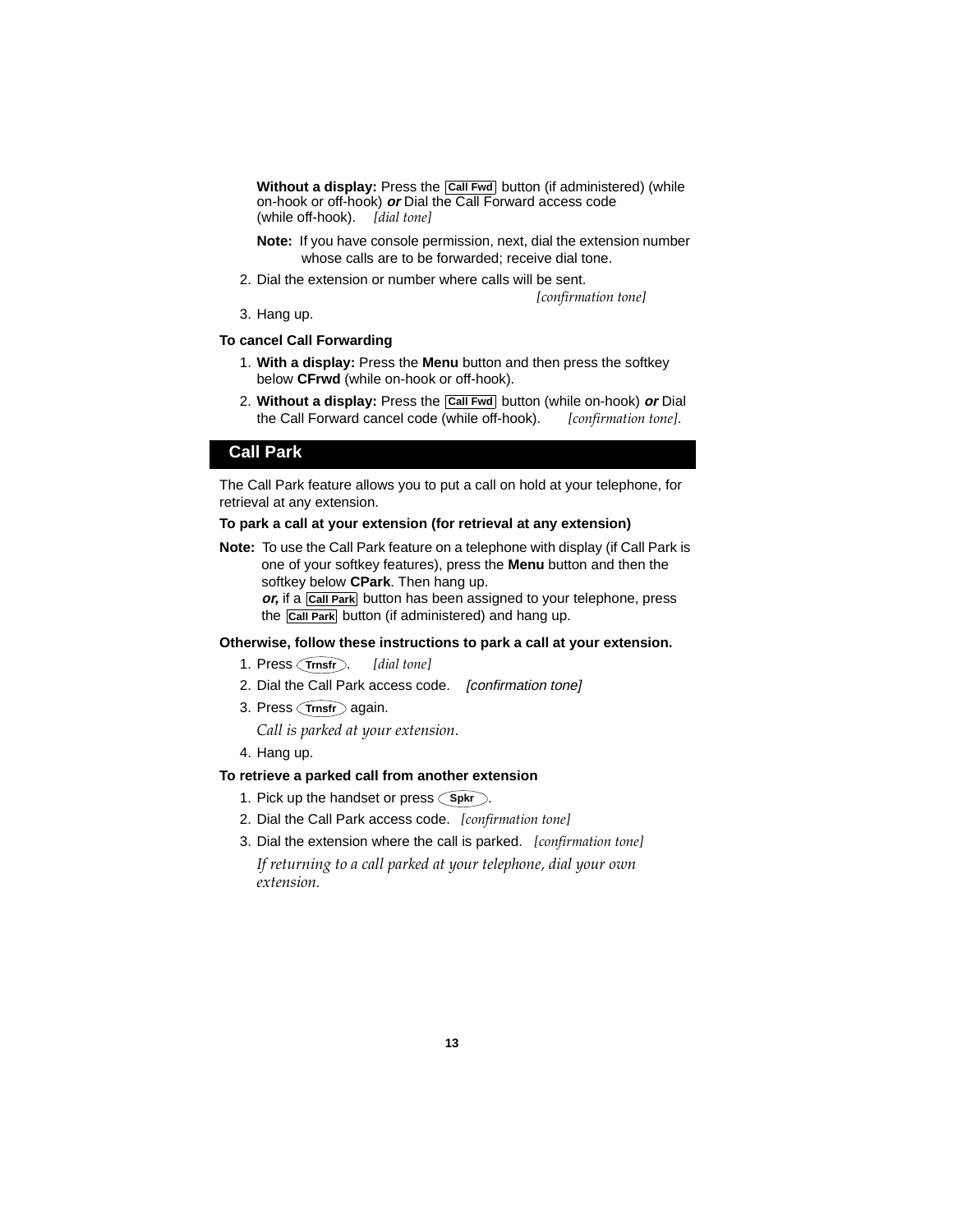**Without a display:** Press the **Call Fwd** button (if administered) (while on-hook or off-hook) **or** Dial the Call Forward access code (while off-hook). *[dial tone]*

**Note:** If you have console permission, next, dial the extension number whose calls are to be forwarded; receive dial tone.

2. Dial the extension or number where calls will be sent.

*[confirmation tone]*

3. Hang up.

#### **To cancel Call Forwarding**

- 1. **With a display:** Press the **Menu** button and then press the softkey below **CFrwd** (while on-hook or off-hook).
- 2. Without a display: Press the **Call Fwd** button (while on-hook) or Dial the Call Forward cancel code (while off-hook). *[confirmation tone]*.

### **Call Park**

The Call Park feature allows you to put a call on hold at your telephone, for retrieval at any extension.

#### **To park a call at your extension (for retrieval at any extension)**

**Note:** To use the Call Park feature on a telephone with display (if Call Park is one of your softkey features), press the **Menu** button and then the softkey below **CPark**. Then hang up.

or, if a **Call Park** button has been assigned to your telephone, press the **Call Park** button (if administered) and hang up.

#### **Otherwise, follow these instructions to park a call at your extension.**

- 1. Press **Trnsfr** . *[dial tone]*
- 2. Dial the Call Park access code. [confirmation tone]
- 3. Press **Trnsfr** again.

*Call is parked at your extension.*

4. Hang up.

#### **To retrieve a parked call from another extension**

- 1. Pick up the handset or press (Spkr).
- 2. Dial the Call Park access code. *[confirmation tone]*
- 3. Dial the extension where the call is parked. *[confirmation tone] If returning to a call parked at your telephone, dial your own extension.*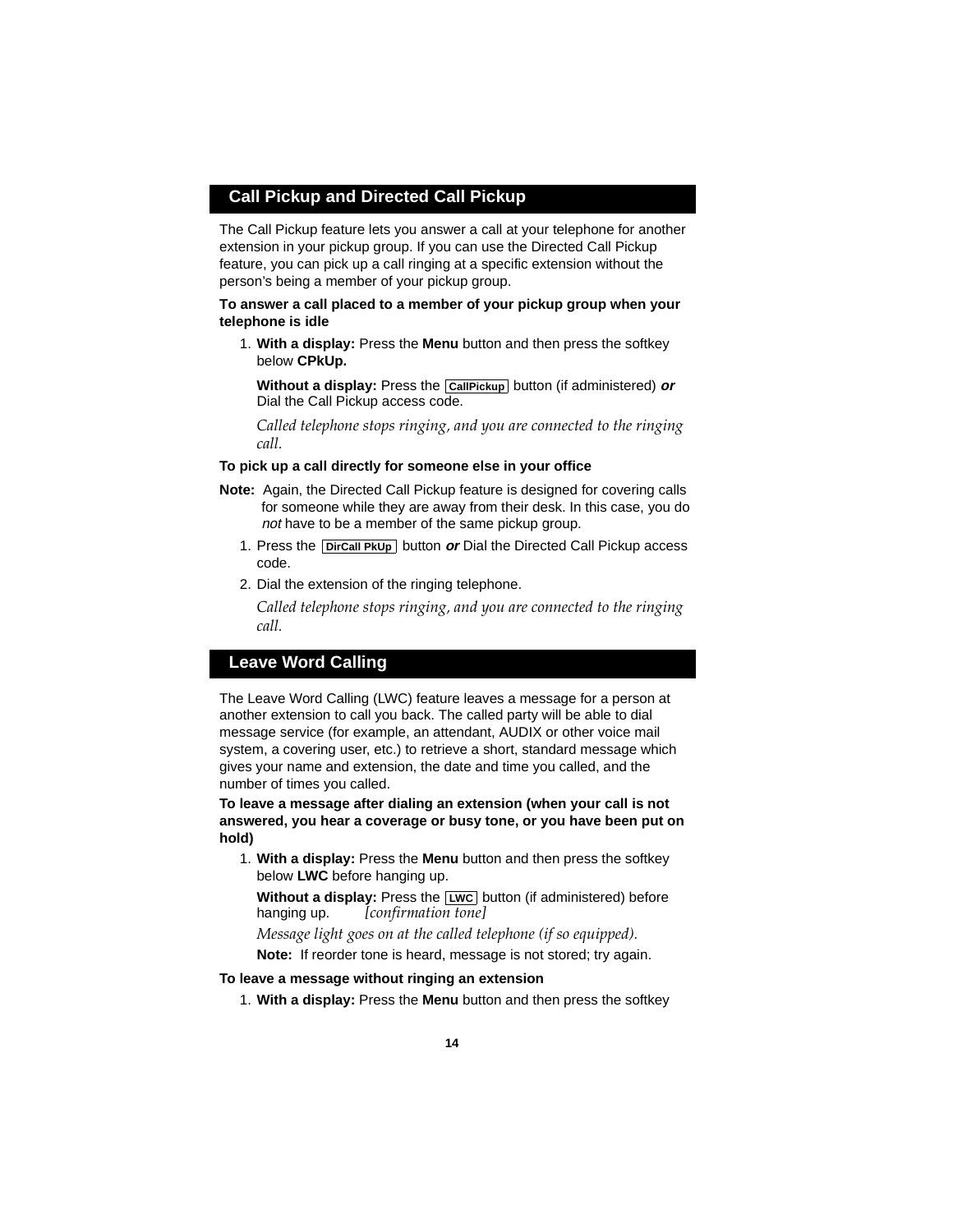## **Call Pickup and Directed Call Pickup**

The Call Pickup feature lets you answer a call at your telephone for another extension in your pickup group. If you can use the Directed Call Pickup feature, you can pick up a call ringing at a specific extension without the person's being a member of your pickup group.

#### **To answer a call placed to a member of your pickup group when your telephone is idle**

1. **With a display:** Press the **Menu** button and then press the softkey below **CPkUp.**

**Without a display:** Press the **CallPickup** button (if administered) or Dial the Call Pickup access code.

*Called telephone stops ringing, and you are connected to the ringing call.*

#### **To pick up a call directly for someone else in your office**

- **Note:** Again, the Directed Call Pickup feature is designed for covering calls for someone while they are away from their desk. In this case, you do not have to be a member of the same pickup group.
	- 1. Press the **DirCall PkUp** button **or** Dial the Directed Call Pickup access code.
	- 2. Dial the extension of the ringing telephone.

*Called telephone stops ringing, and you are connected to the ringing call.*

### **Leave Word Calling**

The Leave Word Calling (LWC) feature leaves a message for a person at another extension to call you back. The called party will be able to dial message service (for example, an attendant, AUDIX or other voice mail system, a covering user, etc.) to retrieve a short, standard message which gives your name and extension, the date and time you called, and the number of times you called.

**To leave a message after dialing an extension (when your call is not answered, you hear a coverage or busy tone, or you have been put on hold)**

1. **With a display:** Press the **Menu** button and then press the softkey below **LWC** before hanging up.

**Without a display:** Press the **LWC** button (if administered) before hanging up. *[confirmation tone]*

*Message light goes on at the called telephone (if so equipped).* **Note:** If reorder tone is heard, message is not stored; try again.

#### **To leave a message without ringing an extension**

1. **With a display:** Press the **Menu** button and then press the softkey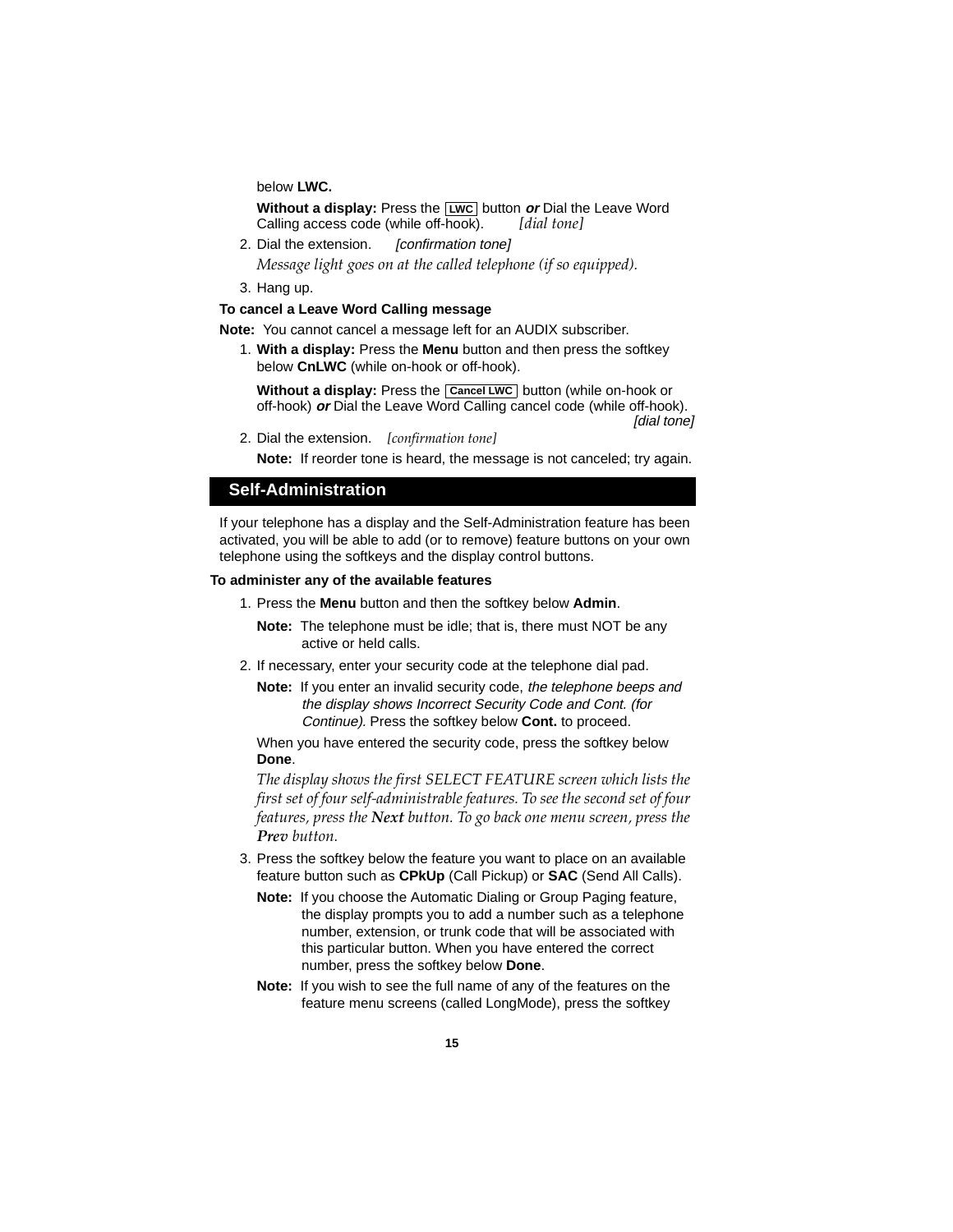below **LWC.**

**Without a display:** Press the **LWC** button **or** Dial the Leave Word Calling access code (while off-hook). *[dial tone]*

- 2. Dial the extension. [confirmation tone] *Message light goes on at the called telephone (if so equipped).*
- 3. Hang up.

#### **To cancel a Leave Word Calling message**

**Note:** You cannot cancel a message left for an AUDIX subscriber.

1. **With a display:** Press the **Menu** button and then press the softkey below **CnLWC** (while on-hook or off-hook).

**Without a display:** Press the **Cancel LWC** button (while on-hook or off-hook) **or** Dial the Leave Word Calling cancel code (while off-hook). [dial tone]

2. Dial the extension. *[confirmation tone]*

**Note:** If reorder tone is heard, the message is not canceled; try again.

### **Self-Administration**

If your telephone has a display and the Self-Administration feature has been activated, you will be able to add (or to remove) feature buttons on your own telephone using the softkeys and the display control buttons.

#### **To administer any of the available features**

- 1. Press the **Menu** button and then the softkey below **Admin**.
	- **Note:** The telephone must be idle; that is, there must NOT be any active or held calls.
- 2. If necessary, enter your security code at the telephone dial pad.
	- **Note:** If you enter an invalid security code, the telephone beeps and the display shows Incorrect Security Code and Cont. (for Continue). Press the softkey below **Cont.** to proceed.

When you have entered the security code, press the softkey below **Done**.

*The display shows the first SELECT FEATURE screen which lists the first set of four self-administrable features. To see the second set of four features, press the Next button. To go back one menu screen, press the Prev button.*

- 3. Press the softkey below the feature you want to place on an available feature button such as **CPkUp** (Call Pickup) or **SAC** (Send All Calls).
	- **Note:** If you choose the Automatic Dialing or Group Paging feature, the display prompts you to add a number such as a telephone number, extension, or trunk code that will be associated with this particular button. When you have entered the correct number, press the softkey below **Done**.
	- **Note:** If you wish to see the full name of any of the features on the feature menu screens (called LongMode), press the softkey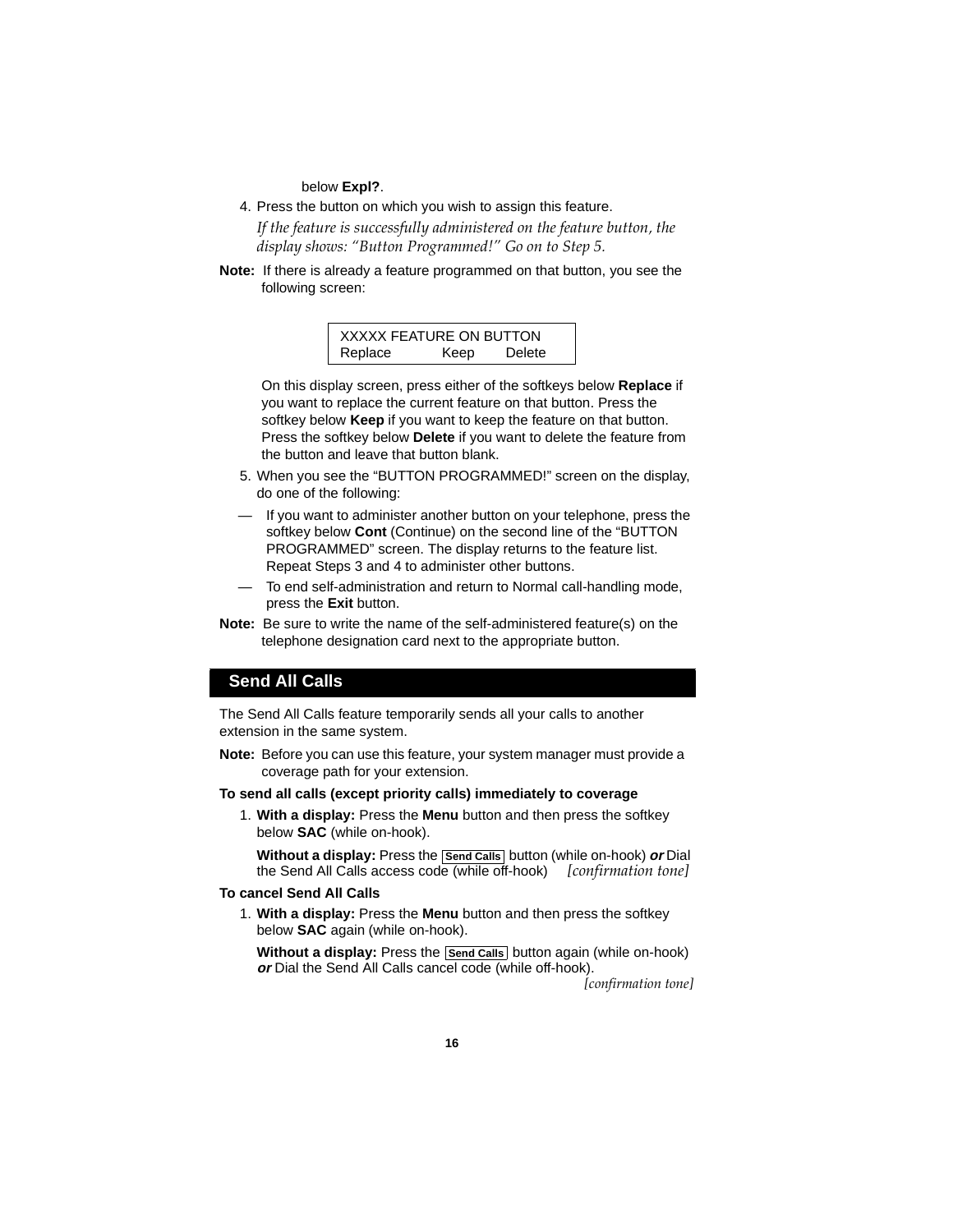below **Expl?**.

4. Press the button on which you wish to assign this feature.

*If the feature is successfully administered on the feature button, the display shows: "Button Programmed!" Go on to Step 5.*

**Note:** If there is already a feature programmed on that button, you see the following screen:

> XXXXX FEATURE ON BUTTON Replace Keep Delete

On this display screen, press either of the softkeys below **Replace** if you want to replace the current feature on that button. Press the softkey below **Keep** if you want to keep the feature on that button. Press the softkey below **Delete** if you want to delete the feature from the button and leave that button blank.

- 5. When you see the "BUTTON PROGRAMMED!" screen on the display, do one of the following:
- If you want to administer another button on your telephone, press the softkey below **Cont** (Continue) on the second line of the "BUTTON PROGRAMMED" screen. The display returns to the feature list. Repeat Steps 3 and 4 to administer other buttons.
- To end self-administration and return to Normal call-handling mode, press the **Exit** button.
- **Note:** Be sure to write the name of the self-administered feature(s) on the telephone designation card next to the appropriate button.

### **Send All Calls**

The Send All Calls feature temporarily sends all your calls to another extension in the same system.

**Note:** Before you can use this feature, your system manager must provide a coverage path for your extension.

#### **To send all calls (except priority calls) immediately to coverage**

1. **With a display:** Press the **Menu** button and then press the softkey below **SAC** (while on-hook).

**Without a display:** Press the **Send Calls** button (while on-hook) **or** Dial the Send All Calls access code (while off-hook) *[confirmation tone]*

#### **To cancel Send All Calls**

1. **With a display:** Press the **Menu** button and then press the softkey below **SAC** again (while on-hook).

**Without a display:** Press the **Send Calls** button again (while on-hook) **or** Dial the Send All Calls cancel code (while off-hook).

*[confirmation tone]*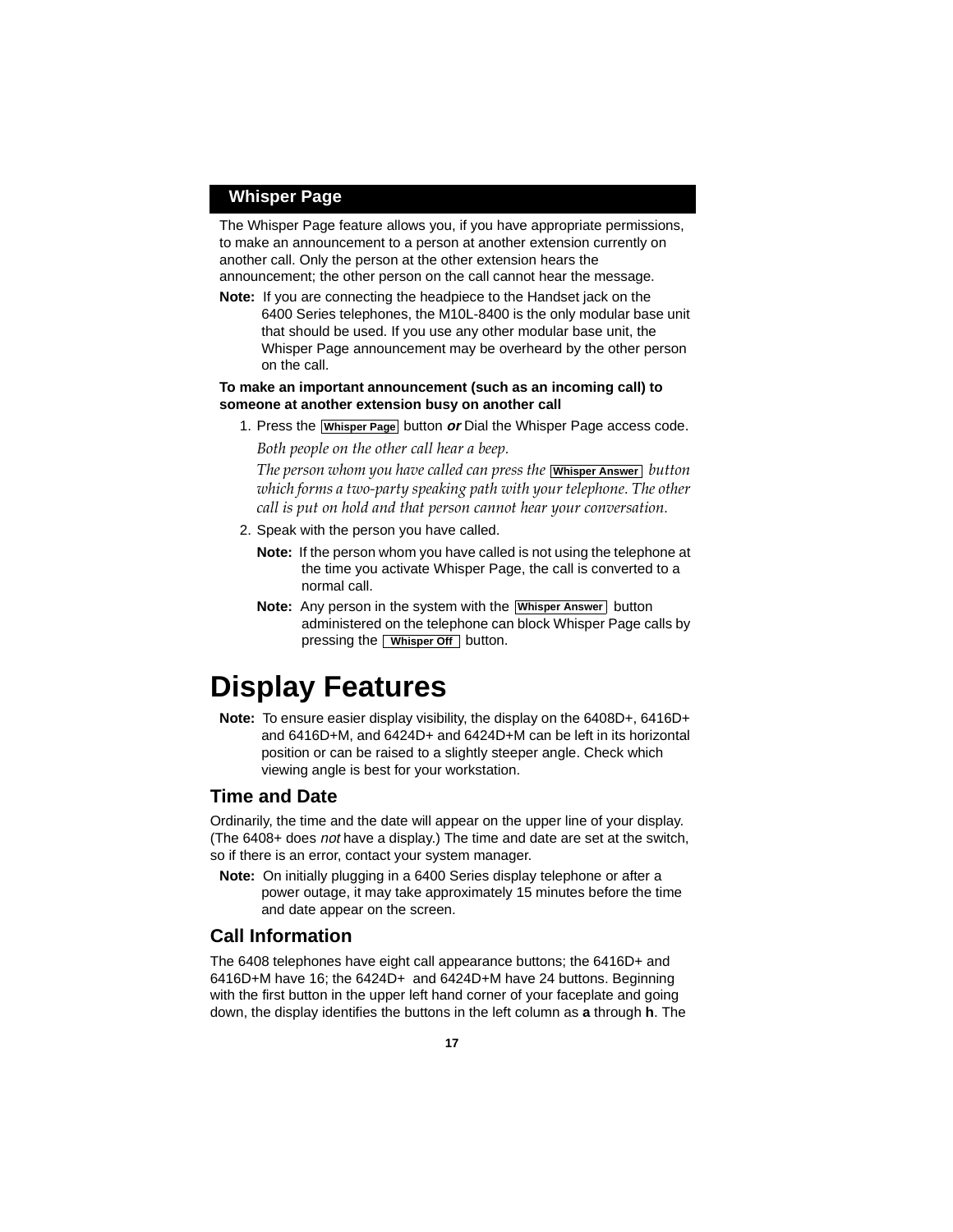### **Whisper Page**

The Whisper Page feature allows you, if you have appropriate permissions, to make an announcement to a person at another extension currently on another call. Only the person at the other extension hears the announcement; the other person on the call cannot hear the message.

**Note:** If you are connecting the headpiece to the Handset jack on the 6400 Series telephones, the M10L-8400 is the only modular base unit that should be used. If you use any other modular base unit, the Whisper Page announcement may be overheard by the other person on the call.

#### **To make an important announcement (such as an incoming call) to someone at another extension busy on another call**

1. Press the **Whisper Page** button or Dial the Whisper Page access code.

*Both people on the other call hear a beep.*

The person whom you have called can press the [**Whisper Answer**] button  $\mathcal{L}$ *which forms a two-party speaking path with your telephone. The other call is put on hold and that person cannot hear your conversation.*

- 2. Speak with the person you have called.
	- **Note:** If the person whom you have called is not using the telephone at the time you activate Whisper Page, the call is converted to a normal call.
	- **Note:** Any person in the system with the **Whisper Answer** button administered on the telephone can block Whisper Page calls by pressing the **Whisper Off** button.

## **Display Features**

**Note:** To ensure easier display visibility, the display on the 6408D+, 6416D+ and 6416D+M, and 6424D+ and 6424D+M can be left in its horizontal position or can be raised to a slightly steeper angle. Check which viewing angle is best for your workstation.

## **Time and Date**

Ordinarily, the time and the date will appear on the upper line of your display. (The 6408+ does not have a display.) The time and date are set at the switch, so if there is an error, contact your system manager.

**Note:** On initially plugging in a 6400 Series display telephone or after a power outage, it may take approximately 15 minutes before the time and date appear on the screen.

## **Call Information**

The 6408 telephones have eight call appearance buttons; the 6416D+ and 6416D+M have 16; the 6424D+ and 6424D+M have 24 buttons. Beginning with the first button in the upper left hand corner of your faceplate and going down, the display identifies the buttons in the left column as **a** through **h**. The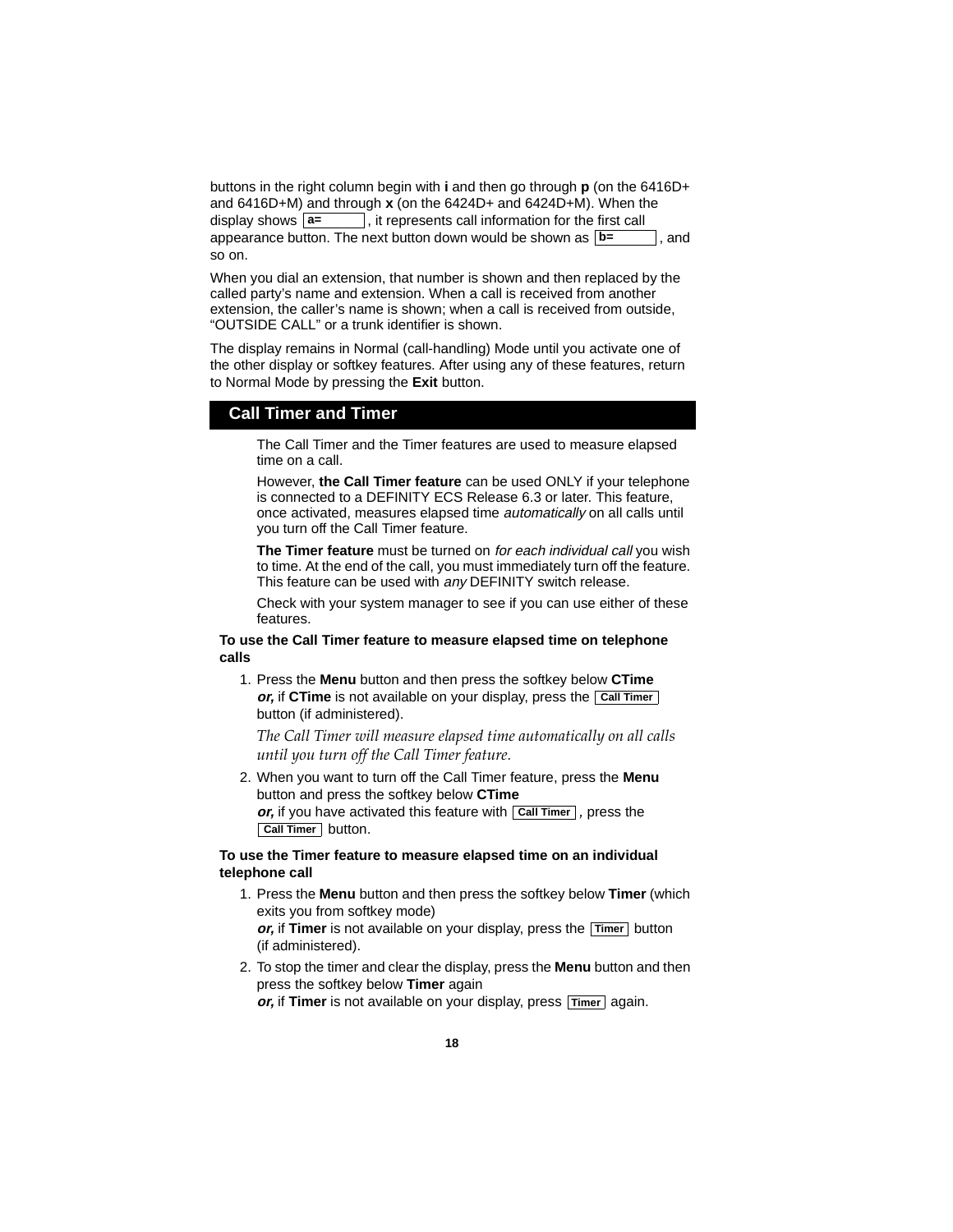buttons in the right column begin with **i** and then go through **p** (on the 6416D+ and 6416D+M) and through **x** (on the 6424D+ and 6424D+M). When the  $\vert$ , it represents call information for the first call appearance button. The next button down would be shown as  $\lfloor b = \rfloor$ , and so on. display shows  $|a=$ 

When you dial an extension, that number is shown and then replaced by the called party's name and extension. When a call is received from another extension, the caller's name is shown; when a call is received from outside, "OUTSIDE CALL" or a trunk identifier is shown.

The display remains in Normal (call-handling) Mode until you activate one of the other display or softkey features. After using any of these features, return to Normal Mode by pressing the **Exit** button.

### **Call Timer and Timer**

The Call Timer and the Timer features are used to measure elapsed time on a call.

However, **the Call Timer feature** can be used ONLY if your telephone is connected to a DEFINITY ECS Release 6.3 or later. This feature, once activated, measures elapsed time automatically on all calls until you turn off the Call Timer feature.

**The Timer feature** must be turned on for each individual call you wish to time. At the end of the call, you must immediately turn off the feature. This feature can be used with any DEFINITY switch release.

Check with your system manager to see if you can use either of these features.

#### **To use the Call Timer feature to measure elapsed time on telephone calls**

1. Press the **Menu** button and then press the softkey below **CTime or,** if **CTime** is not available on your display, press the **Call Timer** button (if administered).

*The Call Timer will measure elapsed time automatically on all calls until you turn off the Call Timer feature.*

2. When you want to turn off the Call Timer feature, press the **Menu** button and press the softkey below **CTime** *or***,** if you have activated this feature with **Call Timer**, press the **Call Timer** button.

#### **To use the Timer feature to measure elapsed time on an individual telephone call**

1. Press the **Menu** button and then press the softkey below **Timer** (which exits you from softkey mode) or, if Timer is not available on your display, press the **Timer** button

(if administered).

2. To stop the timer and clear the display, press the **Menu** button and then press the softkey below **Timer** again or, if Timer is not available on your display, press **Timer** again.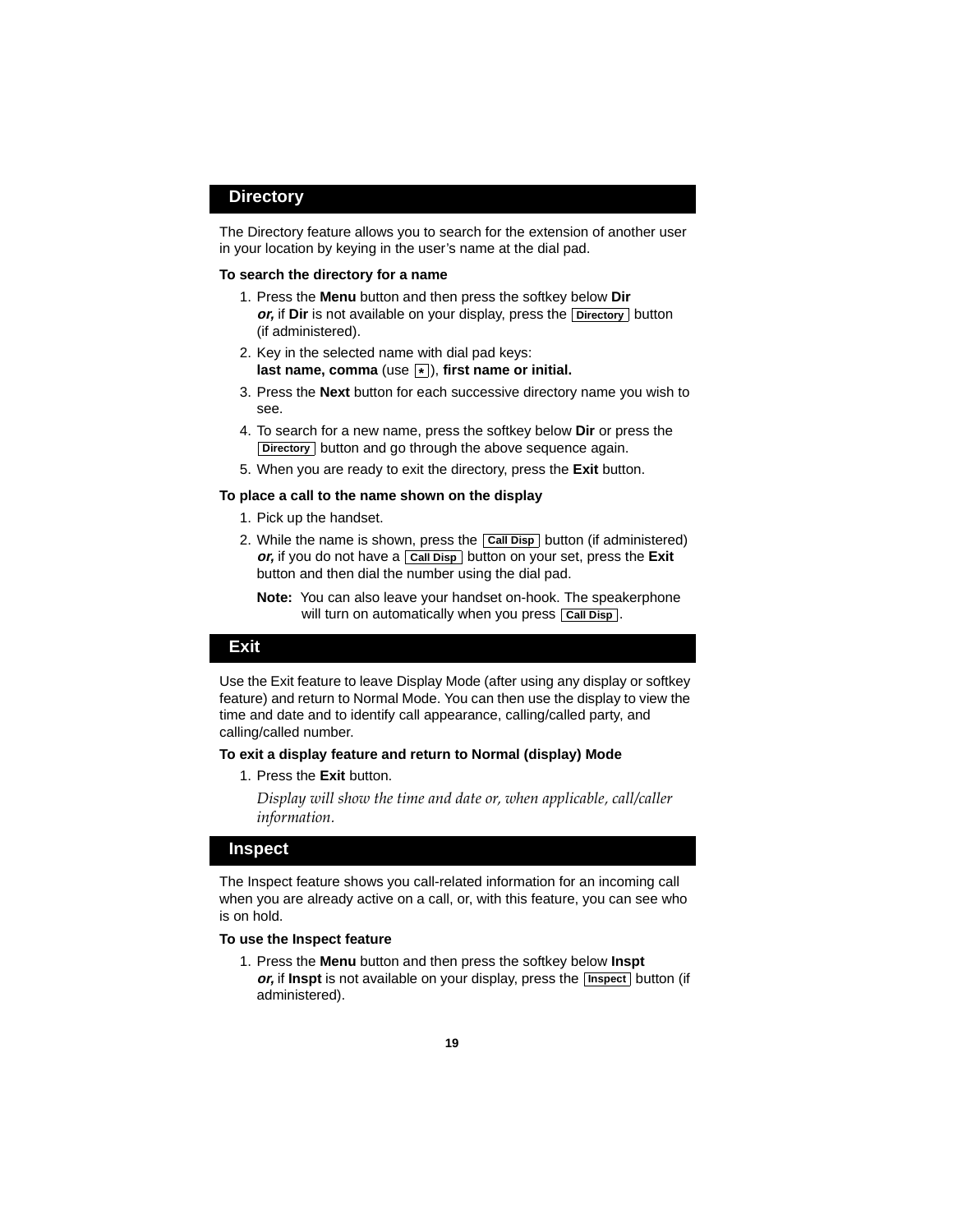### **Directory**

The Directory feature allows you to search for the extension of another user in your location by keying in the user's name at the dial pad.

#### **To search the directory for a name**

- 1. Press the **Menu** button and then press the softkey below **Dir** *or***,** if **Dir** is not available on your display, press the **Directory** button (if administered).
- 2. Key in the selected name with dial pad keys: **last name, comma** (use  $\boxed{*}$ ), first name or initial.
- 3. Press the **Next** button for each successive directory name you wish to see.
- 4. To search for a new name, press the softkey below **Dir** or press the **Directory** button and go through the above sequence again.
- 5. When you are ready to exit the directory, press the **Exit** button.

#### **To place a call to the name shown on the display**

- 1. Pick up the handset.
- 2. While the name is shown, press the **Call Disp** button (if administered) *or***,** if you do not have a **Call Disp** button on your set, press the **Exit** button and then dial the number using the dial pad.

**Note:** You can also leave your handset on-hook. The speakerphone will turn on automatically when you press **Call Disp**.

#### **Exit**

Use the Exit feature to leave Display Mode (after using any display or softkey feature) and return to Normal Mode. You can then use the display to view the time and date and to identify call appearance, calling/called party, and calling/called number.

#### **To exit a display feature and return to Normal (display) Mode**

1. Press the **Exit** button.

*Display will show the time and date or, when applicable, call/caller information.*

#### **Inspect**

The Inspect feature shows you call-related information for an incoming call when you are already active on a call, or, with this feature, you can see who is on hold.

#### **To use the Inspect feature**

1. Press the **Menu** button and then press the softkey below **Inspt**  or, if Inspt is not available on your display, press the **Inspect** button (if administered).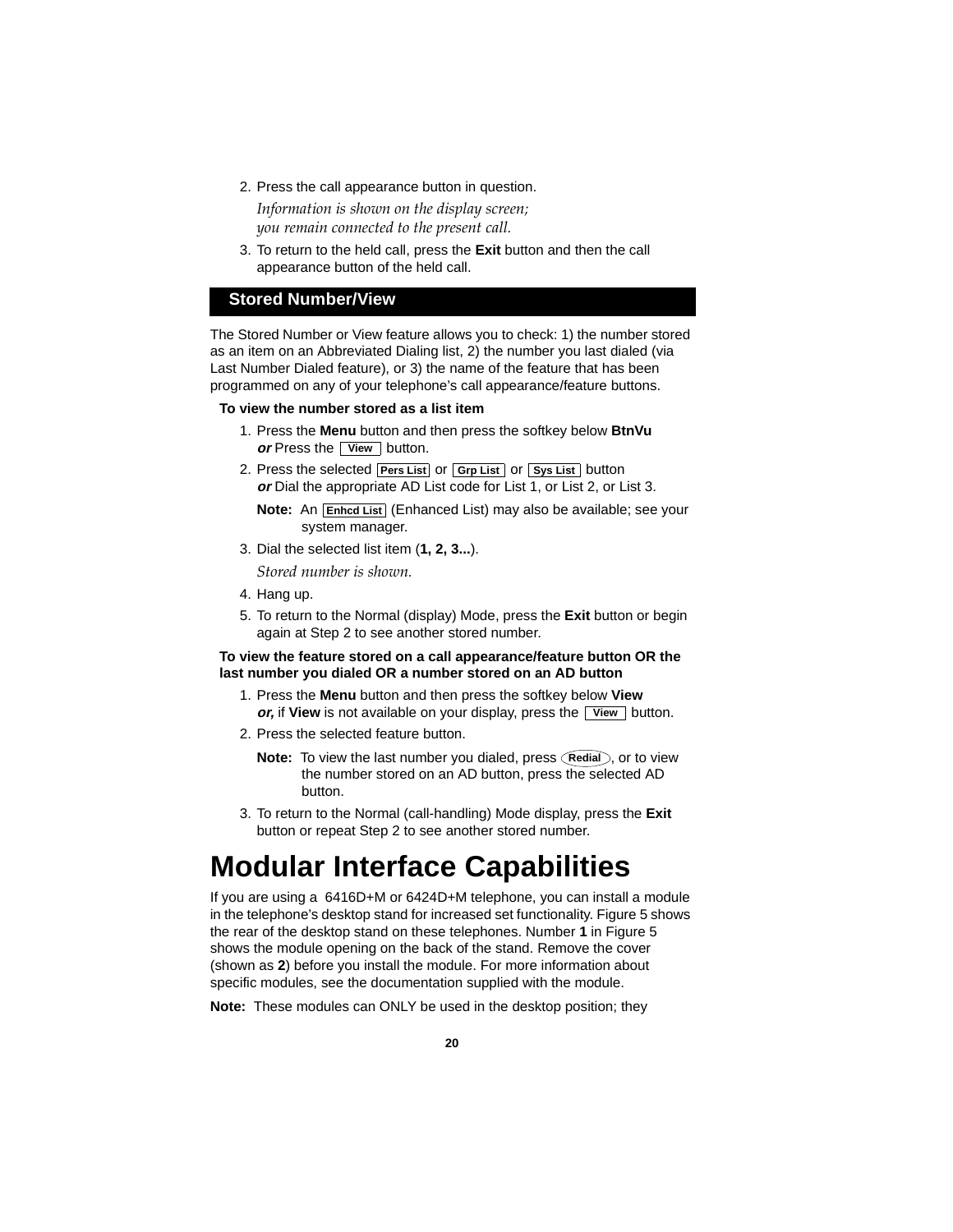2. Press the call appearance button in question. *Information is shown on the display screen;* 

*you remain connected to the present call.*

3. To return to the held call, press the **Exit** button and then the call appearance button of the held call.

## **Stored Number/View**

The Stored Number or View feature allows you to check: 1) the number stored as an item on an Abbreviated Dialing list, 2) the number you last dialed (via Last Number Dialed feature), or 3) the name of the feature that has been programmed on any of your telephone's call appearance/feature buttons.

#### **To view the number stored as a list item**

- 1. Press the **Menu** button and then press the softkey below **BtnVu or** Press the **View** button.
- 2. Press the selected **Pers List** or **Grp List** or **Sys List** button **or** Dial the appropriate AD List code for List 1, or List 2, or List 3.

**Note:** An **Enhcd List** (Enhanced List) may also be available; see your system manager.

3. Dial the selected list item (**1, 2, 3...**).

*Stored number is shown.*

- 4. Hang up.
- 5. To return to the Normal (display) Mode, press the **Exit** button or begin again at Step 2 to see another stored number.

#### **To view the feature stored on a call appearance/feature button OR the last number you dialed OR a number stored on an AD button**

- 1. Press the **Menu** button and then press the softkey below **View or,** if View is not available on your display, press the **View** button.
- 2. Press the selected feature button.
	- **Note:** To view the last number you dialed, press (Redial), or to view the number stored on an AD button, press the selected AD button.
- 3. To return to the Normal (call-handling) Mode display, press the **Exit** button or repeat Step 2 to see another stored number.

# <span id="page-23-0"></span>**Modular Interface Capabilities**

If you are using a 6416D+M or 6424D+M telephone, you can install a module in the telephone's desktop stand for increased set functionality. Figure 5 shows the rear of the desktop stand on these telephones. Number **1** in Figure 5 shows the module opening on the back of the stand. Remove the cover (shown as **2**) before you install the module. For more information about specific modules, see the documentation supplied with the module.

**Note:** These modules can ONLY be used in the desktop position; they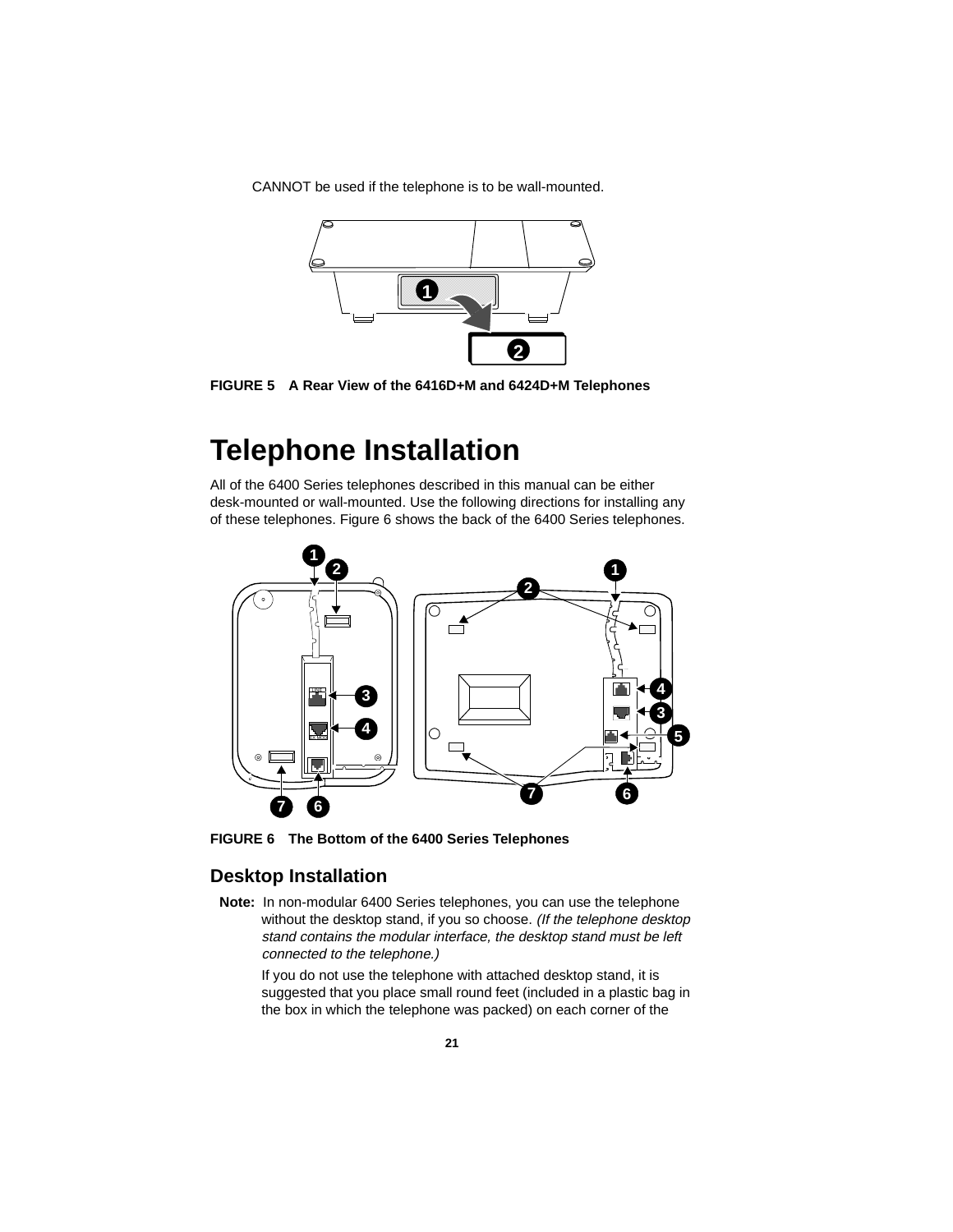CANNOT be used if the telephone is to be wall-mounted.



**FIGURE 5 A Rear View of the 6416D+M and 6424D+M Telephones**

## **Telephone Installation**

All of the 6400 Series telephones described in this manual can be either desk-mounted or wall-mounted. Use the following directions for installing any of these telephones. Figure 6 shows the back of the 6400 Series telephones.



<span id="page-24-0"></span>**FIGURE 6 The Bottom of the 6400 Series Telephones**

## **Desktop Installation**

**Note:** In non-modular 6400 Series telephones, you can use the telephone without the desktop stand, if you so choose. (If the telephone desktop stand contains the modular interface, the desktop stand must be left connected to the telephone.)

If you do not use the telephone with attached desktop stand, it is suggested that you place small round feet (included in a plastic bag in the box in which the telephone was packed) on each corner of the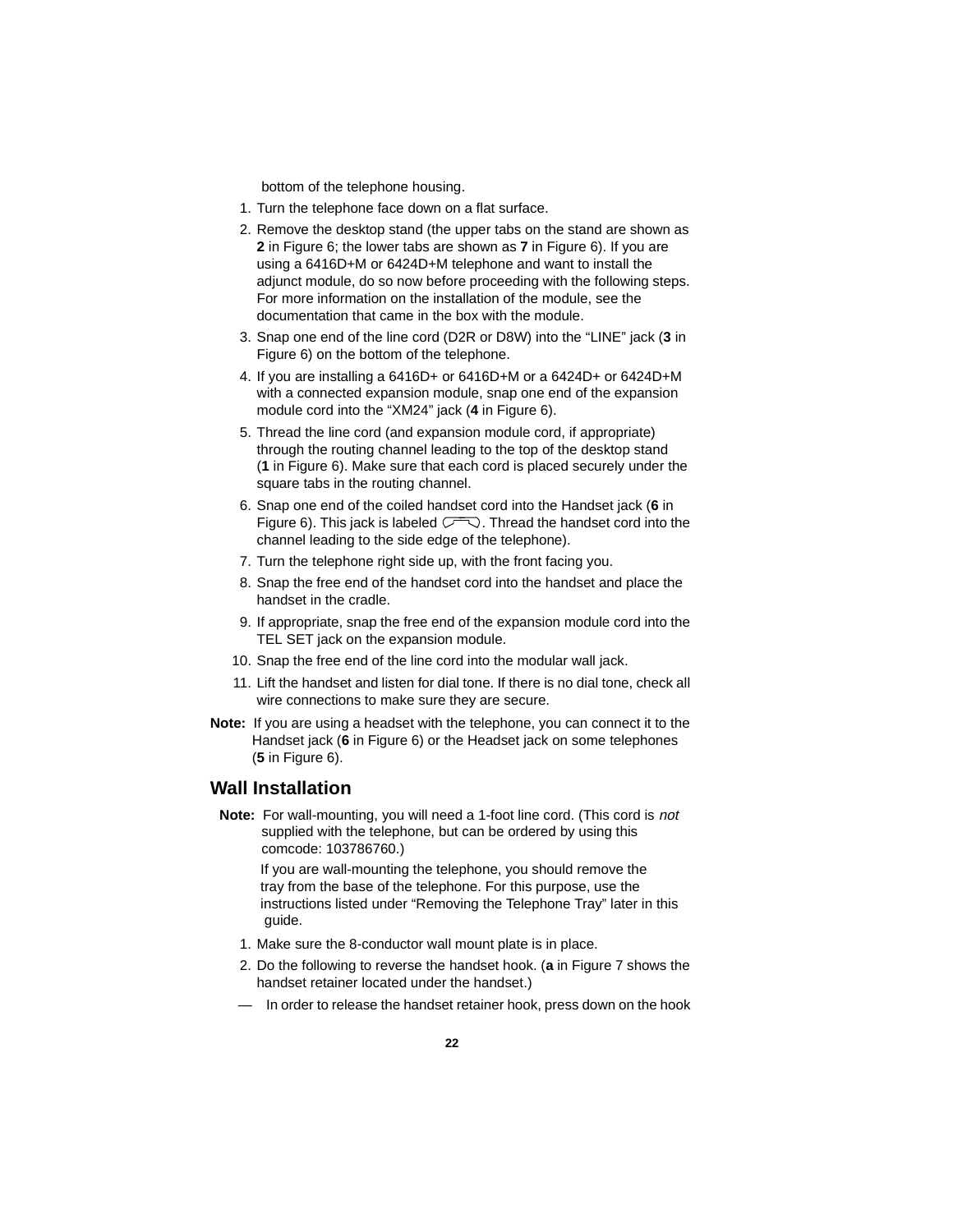bottom of the telephone housing.

- 1. Turn the telephone face down on a flat surface.
- 2. Remove the desktop stand (the upper tabs on the stand are shown as **2** in Figure 6; the lower tabs are shown as **7** in Figure 6). If you are using a 6416D+M or 6424D+M telephone and want to install the adjunct module, do so now before proceeding with the following steps. For more information on the installation of the module, see the documentation that came in the box with the module.
- 3. Snap one end of the line cord (D2R or D8W) into the "LINE" jack (**3** in Figure 6) on the bottom of the telephone.
- 4. If you are installing a 6416D+ or 6416D+M or a 6424D+ or 6424D+M with a connected expansion module, snap one end of the expansion module cord into the "XM24" jack (**4** in Figure 6).
- 5. Thread the line cord (and expansion module cord, if appropriate) through the routing channel leading to the top of the desktop stand (**1** in Figure 6). Make sure that each cord is placed securely under the square tabs in the routing channel.
- 6. Snap one end of the coiled handset cord into the Handset jack (**6** in Figure 6). This jack is labeled  $\sqrt{2}$ . Thread the handset cord into the channel leading to the side edge of the telephone).
- 7. Turn the telephone right side up, with the front facing you.
- 8. Snap the free end of the handset cord into the handset and place the handset in the cradle.
- 9. If appropriate, snap the free end of the expansion module cord into the TEL SET jack on the expansion module.
- 10. Snap the free end of the line cord into the modular wall jack.
- 11. Lift the handset and listen for dial tone. If there is no dial tone, check all wire connections to make sure they are secure.
- **Note:** If you are using a headset with the telephone, you can connect it to the Handset jack (**6** in Figure 6) or the Headset jack on some telephones (**5** in Figure 6).

## **Wall Installation**

**Note:** For wall-mounting, you will need a 1-foot line cord. (This cord is not supplied with the telephone, but can be ordered by using this comcode: 103786760.)

 If you are wall-mounting the telephone, you should remove the tray from the base of the telephone. For this purpose, use the instructions listed under "Removing the Telephone Tray" later in this guide.

- 1. Make sure the 8-conductor wall mount plate is in place.
- 2. Do the following to reverse the handset hook. (**a** in Figure 7 shows the handset retainer located under the handset.)
- In order to release the handset retainer hook, press down on the hook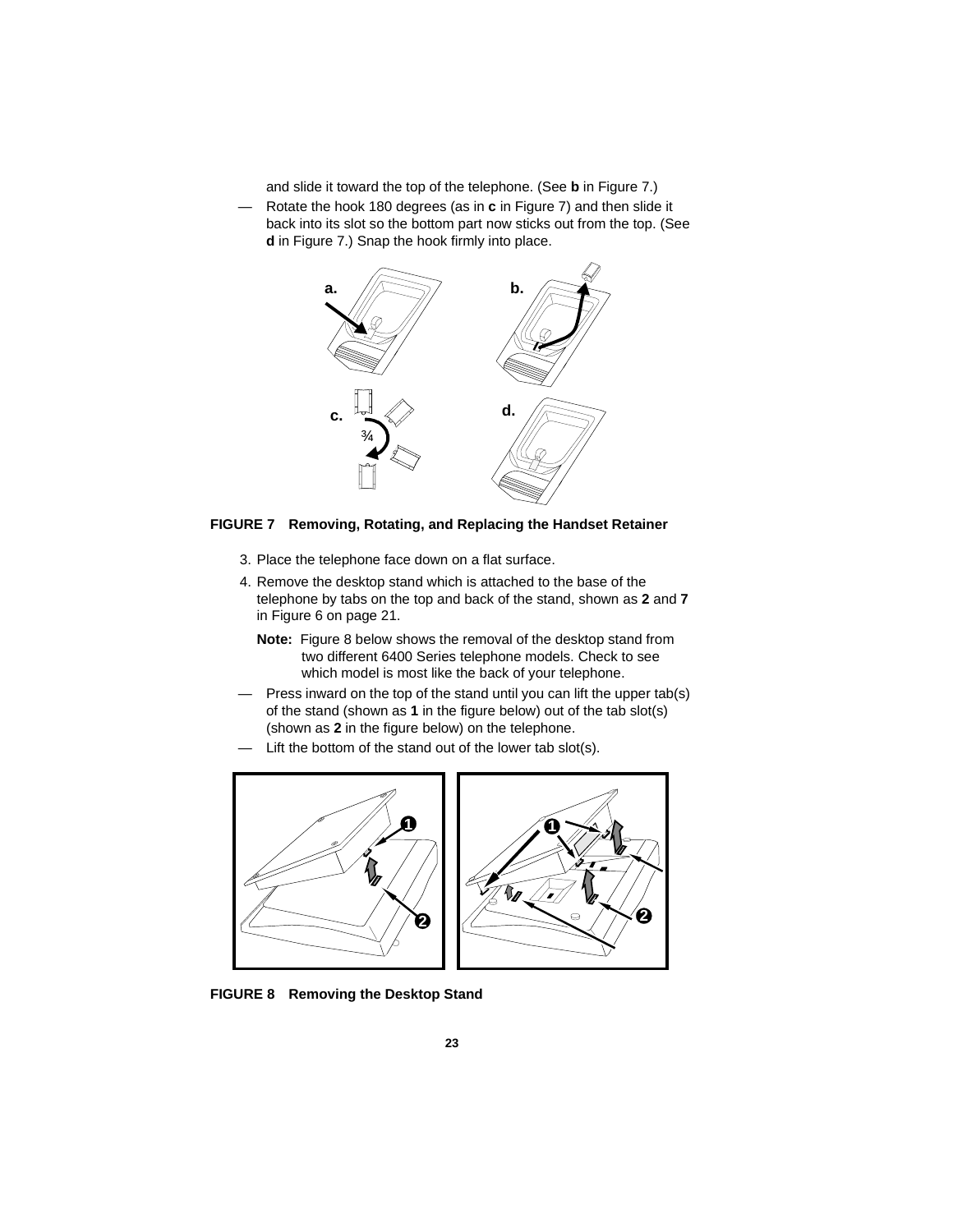and slide it toward the top of the telephone. (See **b** in Figure 7.)

— Rotate the hook 180 degrees (as in **c** in Figure 7) and then slide it back into its slot so the bottom part now sticks out from the top. (See **d** in Figure 7.) Snap the hook firmly into place.



#### **FIGURE 7 Removing, Rotating, and Replacing the Handset Retainer**

- 3. Place the telephone face down on a flat surface.
- 4. Remove the desktop stand which is attached to the base of the telephone by tabs on the top and back of the stand, shown as **2** and **7** in Figure 6 on [page 21.](#page-24-0)
	- **Note:** Figure 8 below shows the removal of the desktop stand from two different 6400 Series telephone models. Check to see which model is most like the back of your telephone.
- Press inward on the top of the stand until you can lift the upper tab(s) of the stand (shown as **1** in the figure below) out of the tab slot(s) (shown as **2** in the figure below) on the telephone.
- Lift the bottom of the stand out of the lower tab slot(s).





**FIGURE 8 Removing the Desktop Stand**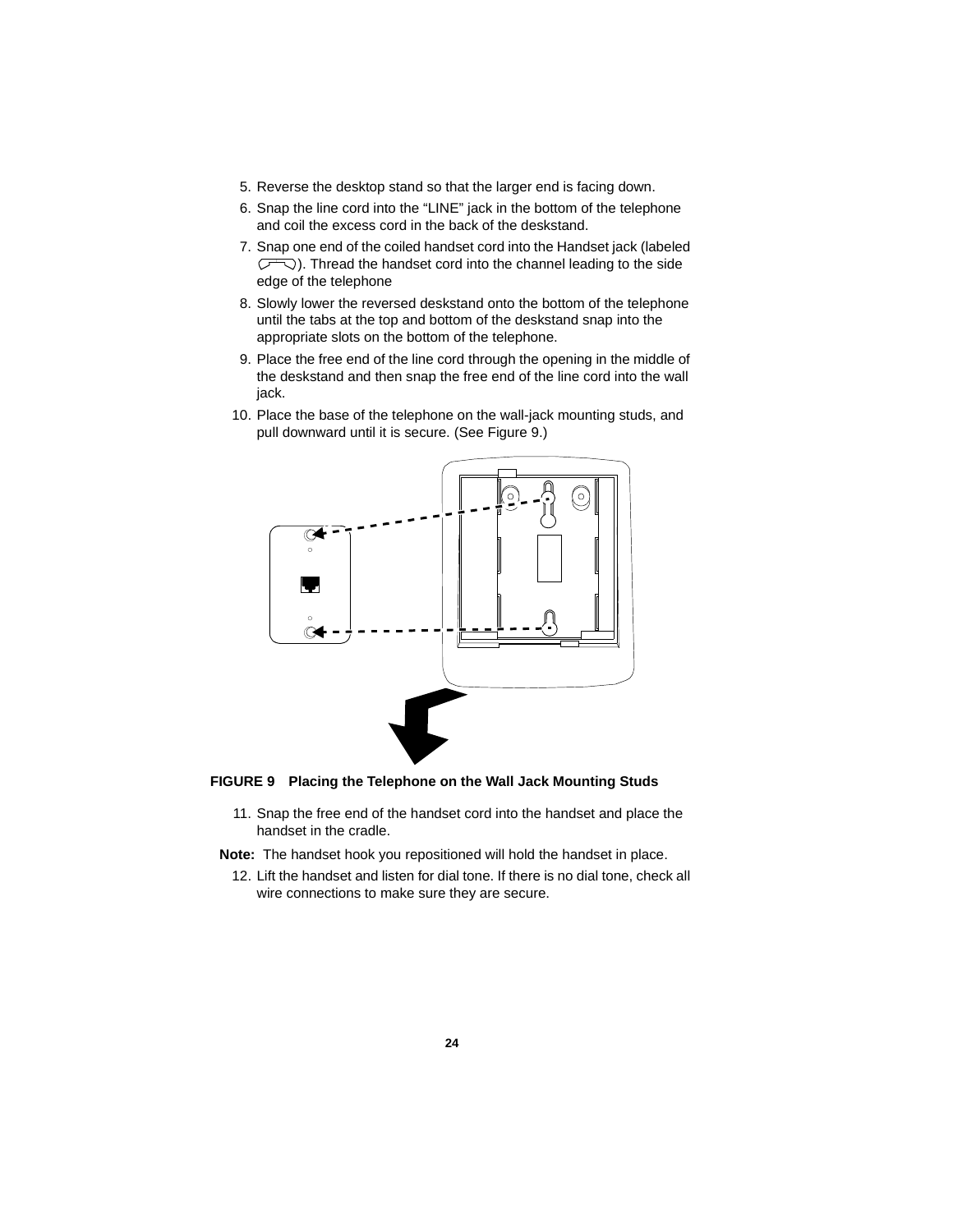- 5. Reverse the desktop stand so that the larger end is facing down.
- 6. Snap the line cord into the "LINE" jack in the bottom of the telephone and coil the excess cord in the back of the deskstand.
- 7. Snap one end of the coiled handset cord into the Handset jack (labeled  $\bigtriangledown$ ). Thread the handset cord into the channel leading to the side  $\sqrt{2}$ edge of the telephone
- 8. Slowly lower the reversed deskstand onto the bottom of the telephone until the tabs at the top and bottom of the deskstand snap into the appropriate slots on the bottom of the telephone.
- 9. Place the free end of the line cord through the opening in the middle of the deskstand and then snap the free end of the line cord into the wall jack.
- 10. Place the base of the telephone on the wall-jack mounting studs, and pull downward until it is secure. (See Figure 9.)



#### **FIGURE 9 Placing the Telephone on the Wall Jack Mounting Studs**

- 11. Snap the free end of the handset cord into the handset and place the handset in the cradle.
- **Note:** The handset hook you repositioned will hold the handset in place.
	- 12. Lift the handset and listen for dial tone. If there is no dial tone, check all wire connections to make sure they are secure.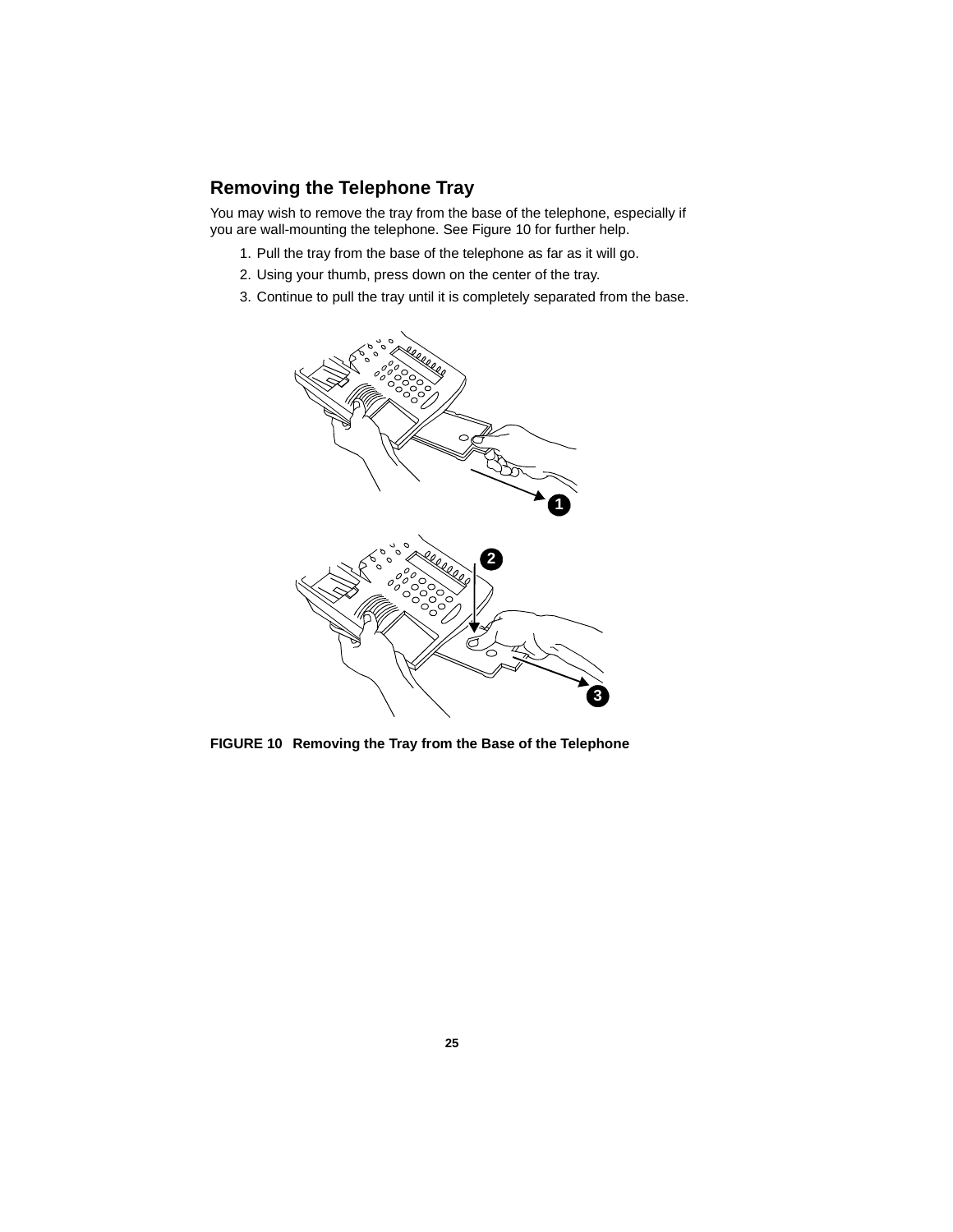## **Removing the Telephone Tray**

You may wish to remove the tray from the base of the telephone, especially if you are wall-mounting the telephone. See Figure 10 for further help.

- 1. Pull the tray from the base of the telephone as far as it will go.
- 2. Using your thumb, press down on the center of the tray.
- 3. Continue to pull the tray until it is completely separated from the base.



**FIGURE 10 Removing the Tray from the Base of the Telephone**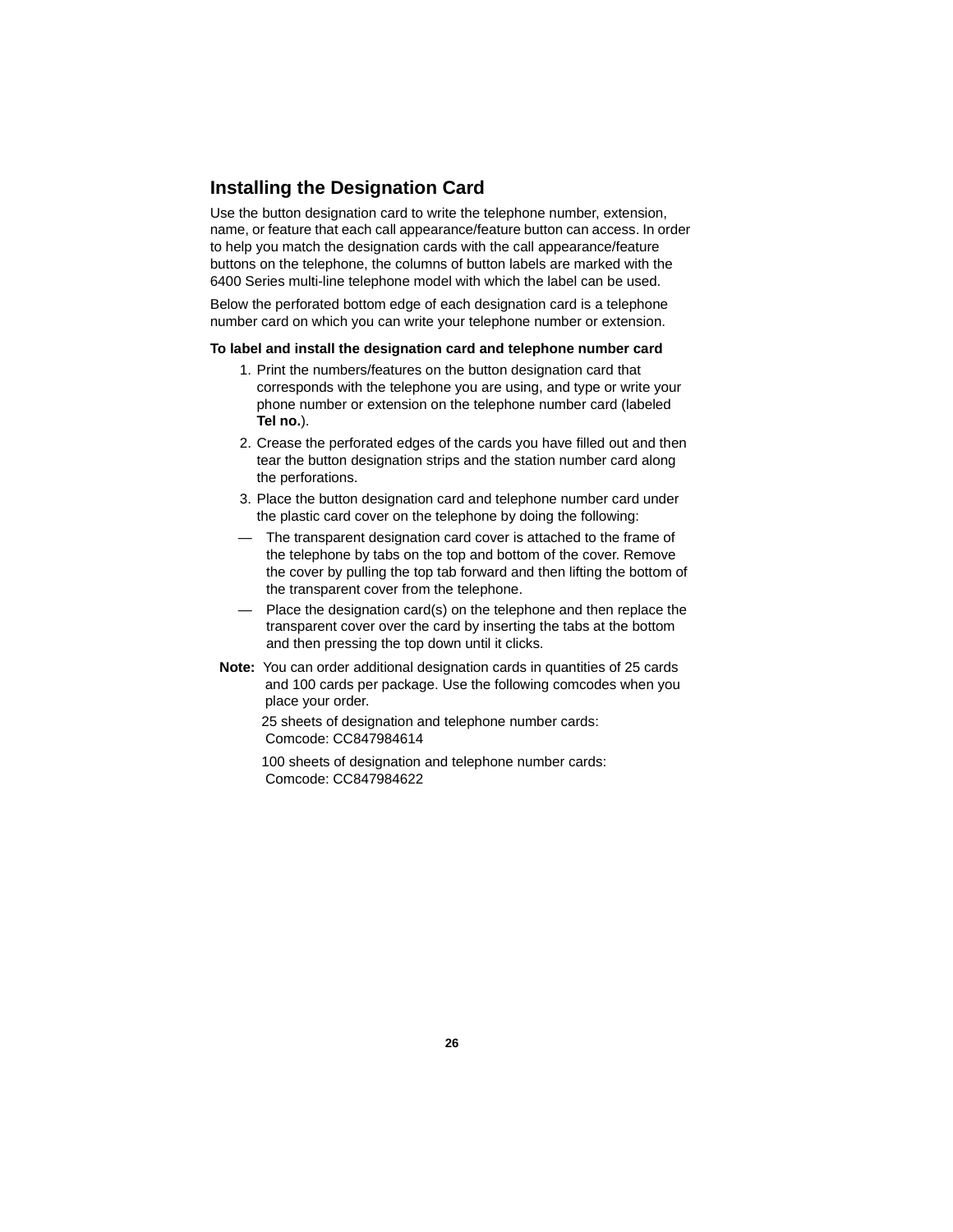## **Installing the Designation Card**

Use the button designation card to write the telephone number, extension, name, or feature that each call appearance/feature button can access. In order to help you match the designation cards with the call appearance/feature buttons on the telephone, the columns of button labels are marked with the 6400 Series multi-line telephone model with which the label can be used.

Below the perforated bottom edge of each designation card is a telephone number card on which you can write your telephone number or extension.

#### **To label and install the designation card and telephone number card**

- 1. Print the numbers/features on the button designation card that corresponds with the telephone you are using, and type or write your phone number or extension on the telephone number card (labeled **Tel no.**).
- 2. Crease the perforated edges of the cards you have filled out and then tear the button designation strips and the station number card along the perforations.
- 3. Place the button designation card and telephone number card under the plastic card cover on the telephone by doing the following:
- The transparent designation card cover is attached to the frame of the telephone by tabs on the top and bottom of the cover. Remove the cover by pulling the top tab forward and then lifting the bottom of the transparent cover from the telephone.
- Place the designation card(s) on the telephone and then replace the transparent cover over the card by inserting the tabs at the bottom and then pressing the top down until it clicks.
- **Note:** You can order additional designation cards in quantities of 25 cards and 100 cards per package. Use the following comcodes when you place your order.

 25 sheets of designation and telephone number cards: Comcode: CC847984614

 100 sheets of designation and telephone number cards: Comcode: CC847984622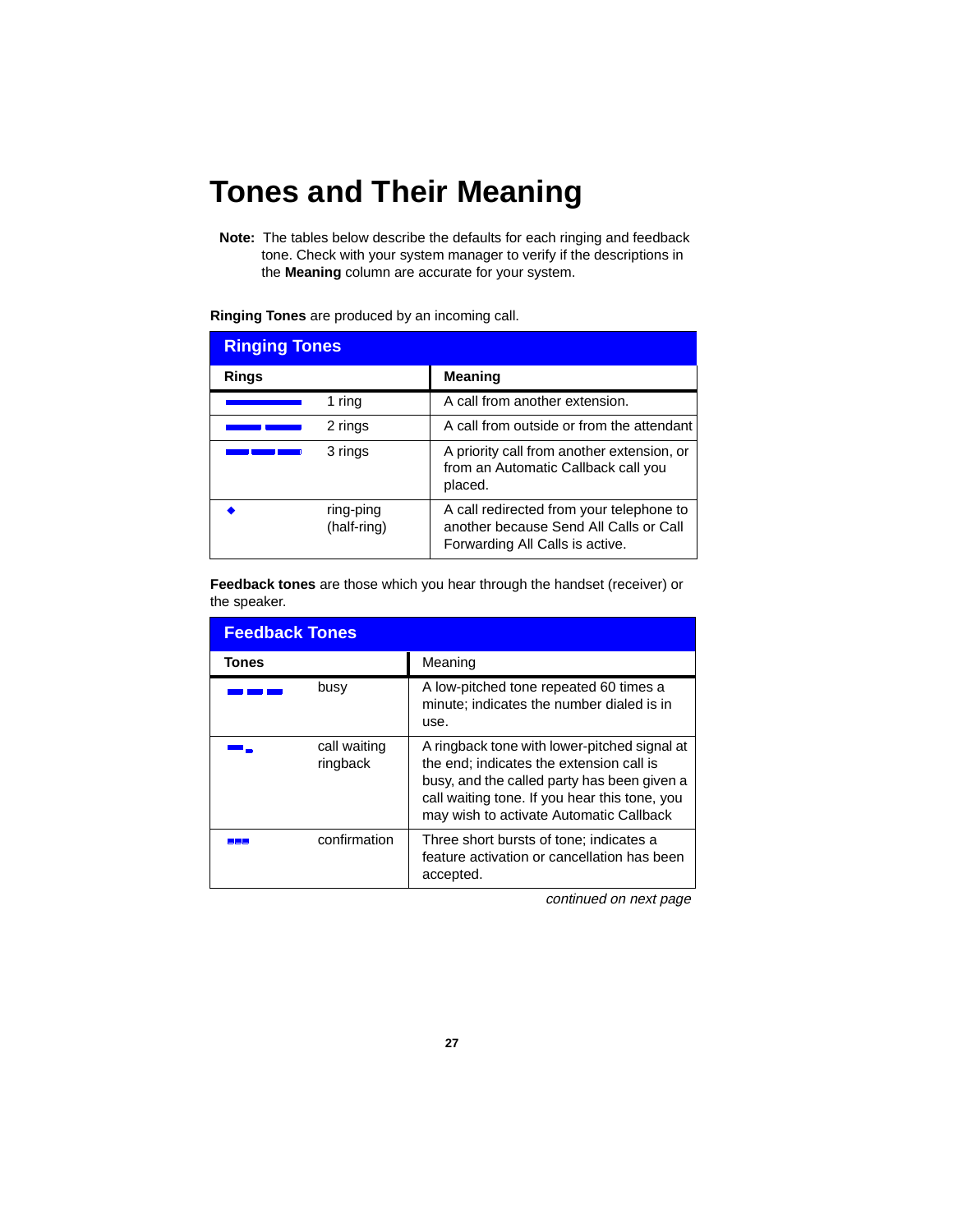## **Tones and Their Meaning**

**Note:** The tables below describe the defaults for each ringing and feedback tone. Check with your system manager to verify if the descriptions in the **Meaning** column are accurate for your system.

|  |  |  | Ringing Tones are produced by an incoming call. |
|--|--|--|-------------------------------------------------|
|--|--|--|-------------------------------------------------|

| <b>Ringing Tones</b> |                          |                                                                                                                       |
|----------------------|--------------------------|-----------------------------------------------------------------------------------------------------------------------|
| Rings                |                          | <b>Meaning</b>                                                                                                        |
| 1 ring               |                          | A call from another extension.                                                                                        |
| 2 rings              |                          | A call from outside or from the attendant                                                                             |
| 3 rings              |                          | A priority call from another extension, or<br>from an Automatic Callback call you<br>placed.                          |
|                      | ring-ping<br>(half-ring) | A call redirected from your telephone to<br>another because Send All Calls or Call<br>Forwarding All Calls is active. |

**Feedback tones** are those which you hear through the handset (receiver) or the speaker.

| <b>Feedback Tones</b> |                          |                                                                                                                                                                                                                                     |
|-----------------------|--------------------------|-------------------------------------------------------------------------------------------------------------------------------------------------------------------------------------------------------------------------------------|
| Tones                 |                          | Meaning                                                                                                                                                                                                                             |
|                       | busy                     | A low-pitched tone repeated 60 times a<br>minute; indicates the number dialed is in<br>use.                                                                                                                                         |
|                       | call waiting<br>ringback | A ringback tone with lower-pitched signal at<br>the end; indicates the extension call is<br>busy, and the called party has been given a<br>call waiting tone. If you hear this tone, you<br>may wish to activate Automatic Callback |
|                       | confirmation             | Three short bursts of tone; indicates a<br>feature activation or cancellation has been<br>accepted.                                                                                                                                 |

continued on next page